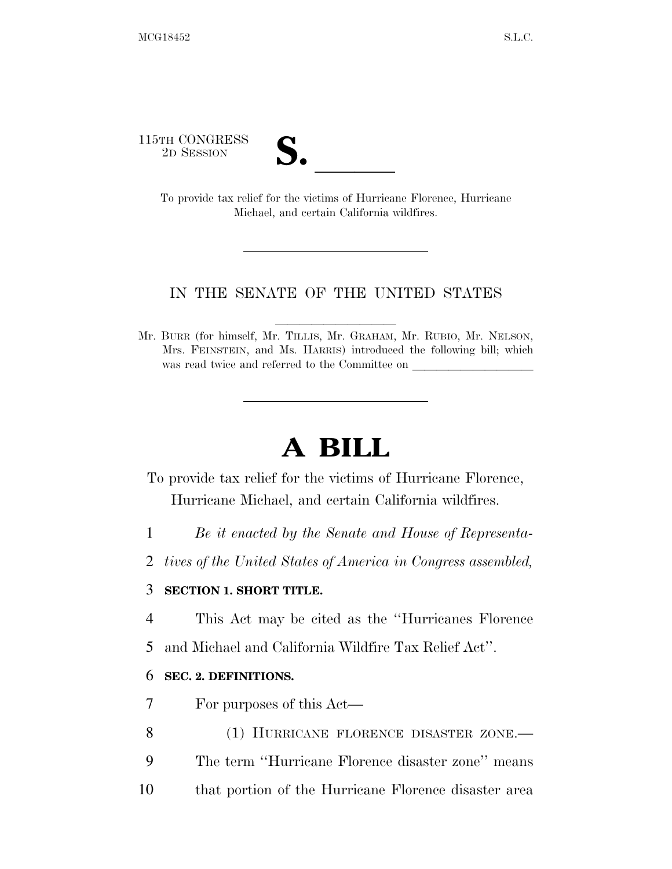115TH CONGRESS

TH CONGRESS<br>
2D SESSION<br>
To provide tax relief for the victims of Hurricane Florence, Hurricane Michael, and certain California wildfires.

## IN THE SENATE OF THE UNITED STATES

Mr. BURR (for himself, Mr. TILLIS, Mr. GRAHAM, Mr. RUBIO, Mr. NELSON, Mrs. FEINSTEIN, and Ms. HARRIS) introduced the following bill; which was read twice and referred to the Committee on

## **A BILL**

To provide tax relief for the victims of Hurricane Florence, Hurricane Michael, and certain California wildfires.

- 1 *Be it enacted by the Senate and House of Representa-*
- 2 *tives of the United States of America in Congress assembled,*

## 3 **SECTION 1. SHORT TITLE.**

- 4 This Act may be cited as the ''Hurricanes Florence
- 5 and Michael and California Wildfire Tax Relief Act''.

## 6 **SEC. 2. DEFINITIONS.**

- 7 For purposes of this Act—
- 8 (1) HURRICANE FLORENCE DISASTER ZONE.— 9 The term ''Hurricane Florence disaster zone'' means
- 10 that portion of the Hurricane Florence disaster area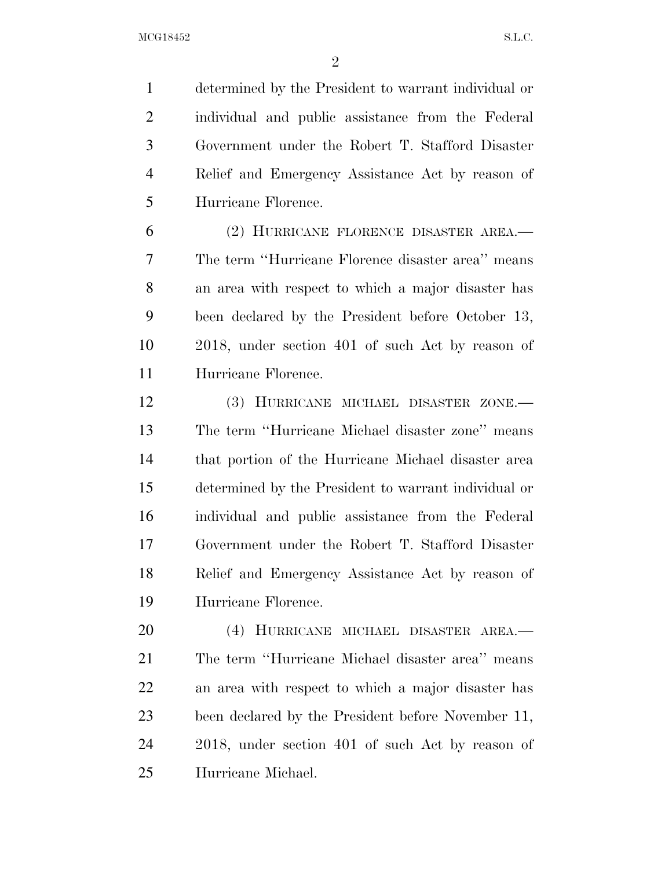determined by the President to warrant individual or individual and public assistance from the Federal Government under the Robert T. Stafford Disaster Relief and Emergency Assistance Act by reason of Hurricane Florence.

 (2) HURRICANE FLORENCE DISASTER AREA.— The term ''Hurricane Florence disaster area'' means an area with respect to which a major disaster has been declared by the President before October 13, 2018, under section 401 of such Act by reason of Hurricane Florence.

 (3) HURRICANE MICHAEL DISASTER ZONE.— The term ''Hurricane Michael disaster zone'' means that portion of the Hurricane Michael disaster area determined by the President to warrant individual or individual and public assistance from the Federal Government under the Robert T. Stafford Disaster Relief and Emergency Assistance Act by reason of Hurricane Florence.

 (4) HURRICANE MICHAEL DISASTER AREA.— The term ''Hurricane Michael disaster area'' means an area with respect to which a major disaster has been declared by the President before November 11, 2018, under section 401 of such Act by reason of Hurricane Michael.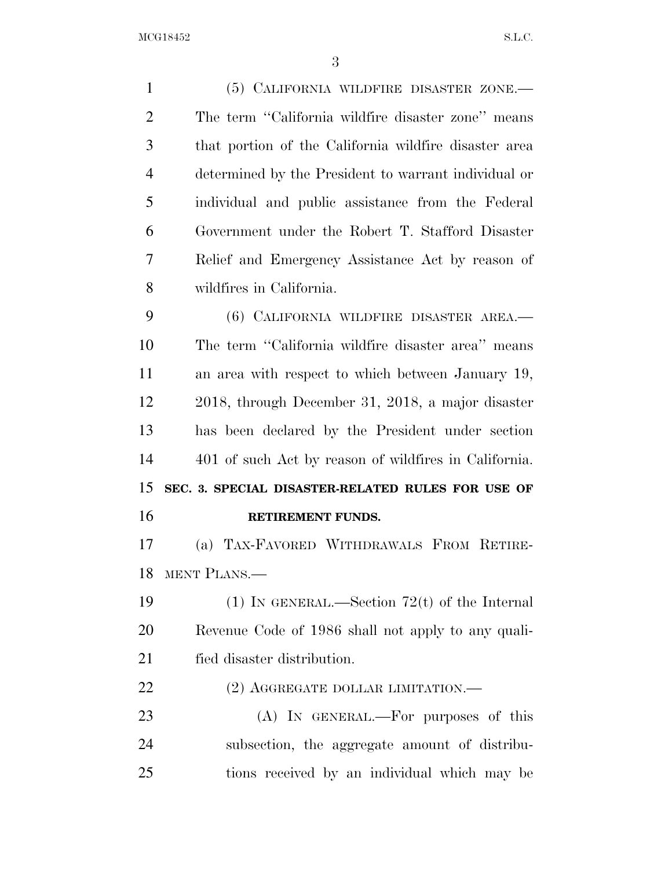(5) CALIFORNIA WILDFIRE DISASTER ZONE.— The term ''California wildfire disaster zone'' means that portion of the California wildfire disaster area determined by the President to warrant individual or individual and public assistance from the Federal Government under the Robert T. Stafford Disaster Relief and Emergency Assistance Act by reason of wildfires in California. (6) CALIFORNIA WILDFIRE DISASTER AREA.— The term ''California wildfire disaster area'' means an area with respect to which between January 19, 2018, through December 31, 2018, a major disaster has been declared by the President under section 401 of such Act by reason of wildfires in California. **SEC. 3. SPECIAL DISASTER-RELATED RULES FOR USE OF RETIREMENT FUNDS.**  (a) TAX-FAVORED WITHDRAWALS FROM RETIRE- MENT PLANS.— (1) IN GENERAL.—Section 72(t) of the Internal Revenue Code of 1986 shall not apply to any quali- fied disaster distribution. 22 (2) AGGREGATE DOLLAR LIMITATION.— (A) IN GENERAL.—For purposes of this subsection, the aggregate amount of distribu-tions received by an individual which may be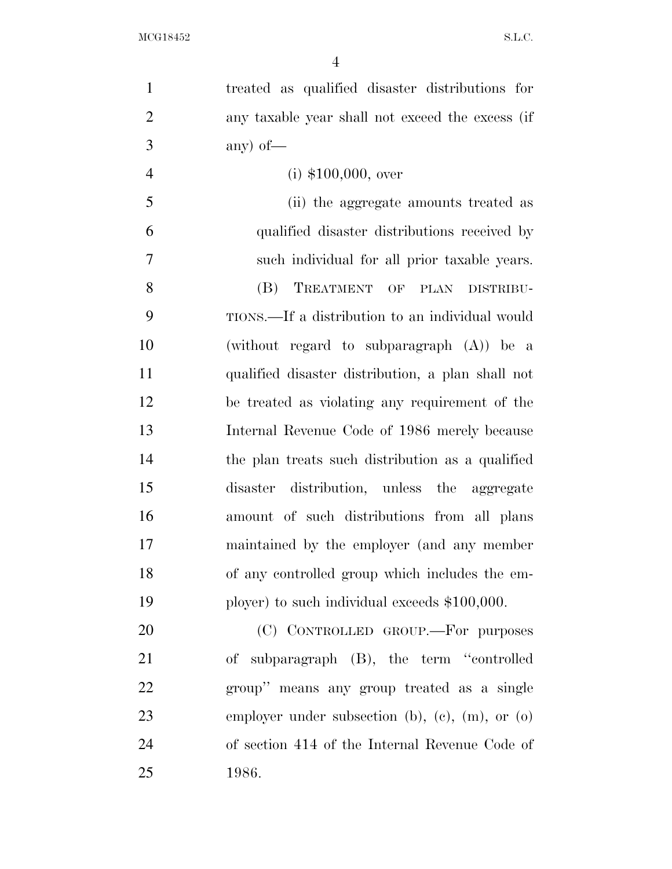| $\mathbf{1}$   | treated as qualified disaster distributions for   |
|----------------|---------------------------------------------------|
| $\overline{2}$ | any taxable year shall not exceed the excess (if  |
| 3              | any) of $-$                                       |
| $\overline{4}$ | $(i)$ \$100,000, over                             |
| 5              | (ii) the aggregate amounts treated as             |
| 6              | qualified disaster distributions received by      |
| 7              | such individual for all prior taxable years.      |
| 8              | (B)<br>TREATMENT OF PLAN DISTRIBU-                |
| 9              | TIONS.—If a distribution to an individual would   |
| 10             | (without regard to subparagraph (A)) be a         |
| 11             | qualified disaster distribution, a plan shall not |
| 12             | be treated as violating any requirement of the    |
| 13             | Internal Revenue Code of 1986 merely because      |
| 14             | the plan treats such distribution as a qualified  |
| 15             | disaster distribution, unless the aggregate       |
| 16             | amount of such distributions from all plans       |
| 17             | maintained by the employer (and any member        |
| 18             | of any controlled group which includes the em-    |
| 19             | ployer) to such individual exceeds $$100,000$ .   |
| 20             | (C) CONTROLLED GROUP. For purposes                |
| 21             | of subparagraph (B), the term "controlled         |
| 22             | group" means any group treated as a single        |
| 23             | employer under subsection (b), (c), (m), or (o)   |
| 24             | of section 414 of the Internal Revenue Code of    |
| 25             | 1986.                                             |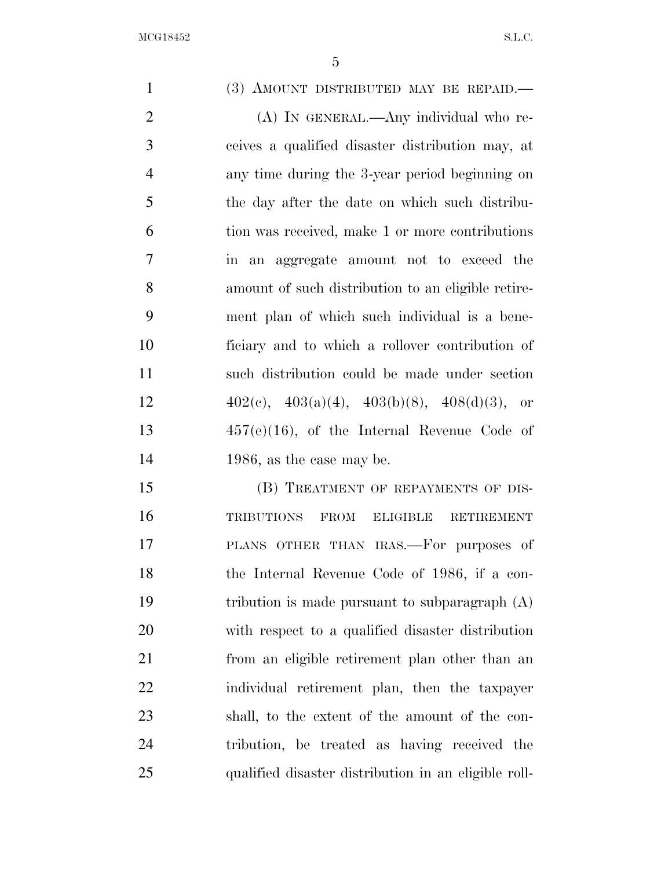1 (3) AMOUNT DISTRIBUTED MAY BE REPAID.— (A) IN GENERAL.—Any individual who re- ceives a qualified disaster distribution may, at any time during the 3-year period beginning on the day after the date on which such distribu- tion was received, make 1 or more contributions in an aggregate amount not to exceed the amount of such distribution to an eligible retire- ment plan of which such individual is a bene- ficiary and to which a rollover contribution of such distribution could be made under section  $402(e)$ ,  $403(a)(4)$ ,  $403(b)(8)$ ,  $408(d)(3)$ , or 457(e)(16), of the Internal Revenue Code of 1986, as the case may be. 15 (B) TREATMENT OF REPAYMENTS OF DIS- TRIBUTIONS FROM ELIGIBLE RETIREMENT PLANS OTHER THAN IRAS.—For purposes of the Internal Revenue Code of 1986, if a con- tribution is made pursuant to subparagraph (A) with respect to a qualified disaster distribution from an eligible retirement plan other than an individual retirement plan, then the taxpayer shall, to the extent of the amount of the con- tribution, be treated as having received the qualified disaster distribution in an eligible roll-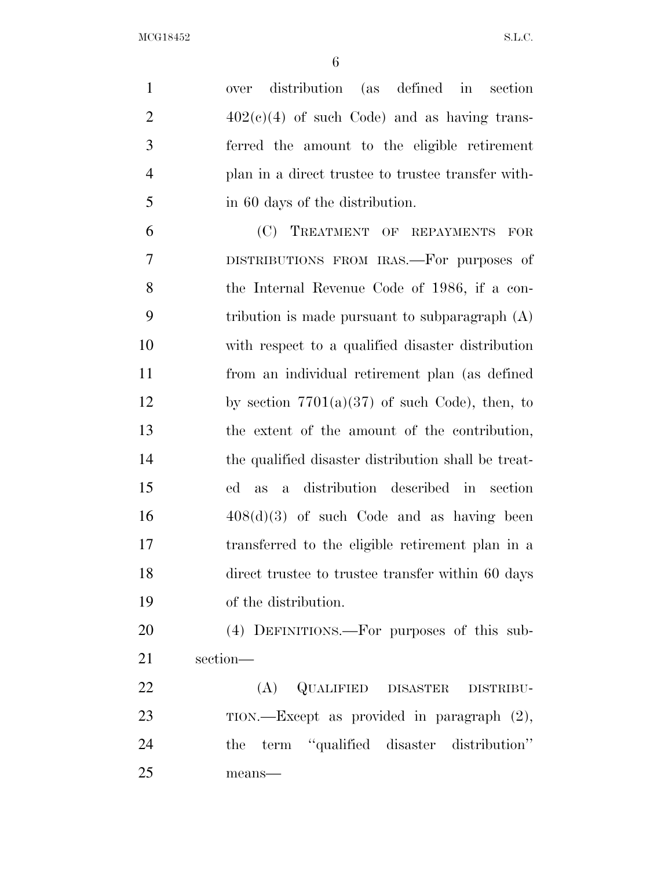over distribution (as defined in section  $402(c)(4)$  of such Code) and as having trans- ferred the amount to the eligible retirement plan in a direct trustee to trustee transfer with-in 60 days of the distribution.

 (C) TREATMENT OF REPAYMENTS FOR DISTRIBUTIONS FROM IRAS.—For purposes of the Internal Revenue Code of 1986, if a con- tribution is made pursuant to subparagraph (A) with respect to a qualified disaster distribution from an individual retirement plan (as defined 12 by section  $7701(a)(37)$  of such Code), then, to the extent of the amount of the contribution, the qualified disaster distribution shall be treat- ed as a distribution described in section  $16 \qquad \qquad 408(d)(3)$  of such Code and as having been transferred to the eligible retirement plan in a direct trustee to trustee transfer within 60 days of the distribution.

 (4) DEFINITIONS.—For purposes of this sub-section—

 (A) QUALIFIED DISASTER DISTRIBU- TION.—Except as provided in paragraph (2), the term ''qualified disaster distribution'' means—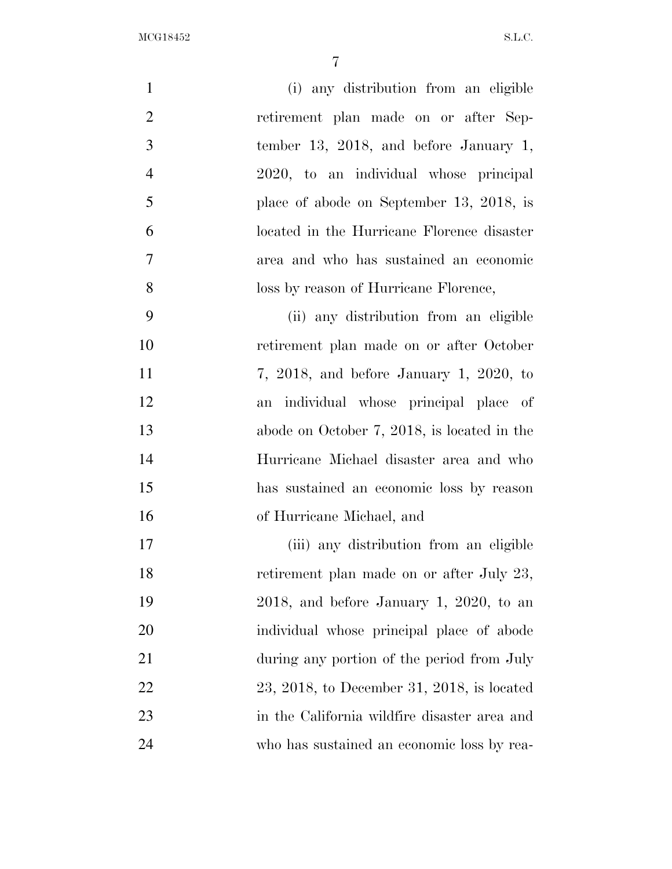| $\mathbf{1}$   | (i) any distribution from an eligible          |
|----------------|------------------------------------------------|
| $\overline{2}$ | retirement plan made on or after Sep-          |
| 3              | tember 13, 2018, and before January 1,         |
| $\overline{4}$ | 2020, to an individual whose principal         |
| 5              | place of abode on September 13, 2018, is       |
| 6              | located in the Hurricane Florence disaster     |
| $\overline{7}$ | area and who has sustained an economic         |
| 8              | loss by reason of Hurricane Florence,          |
| 9              | (ii) any distribution from an eligible         |
| 10             | retirement plan made on or after October       |
| 11             | $7, 2018,$ and before January 1, 2020, to      |
| 12             | an individual whose principal place of         |
| 13             | abode on October $7, 2018$ , is located in the |
| 14             | Hurricane Michael disaster area and who        |
| 15             | has sustained an economic loss by reason       |
| 16             | of Hurricane Michael, and                      |
| 17             | (iii) any distribution from an eligible        |
| 18             | retirement plan made on or after July 23,      |
| 19             | $2018$ , and before January 1, 2020, to an     |
| 20             | individual whose principal place of abode      |
| 21             | during any portion of the period from July     |
| 22             | $23, 2018,$ to December 31, 2018, is located   |
| 23             | in the California wildfire disaster area and   |
| 24             | who has sustained an economic loss by rea-     |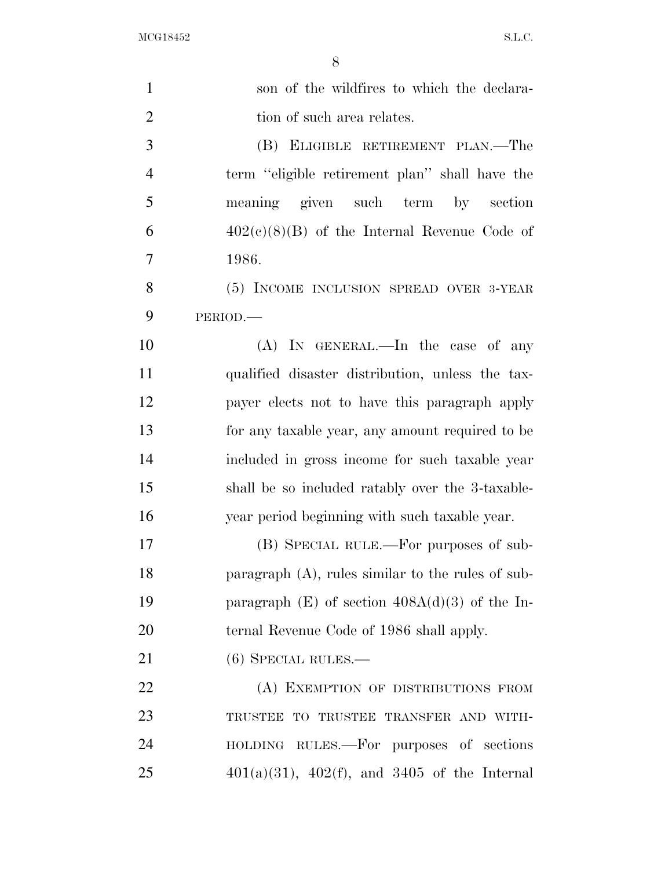| $\mathbf{1}$   | son of the wildfires to which the declara-           |
|----------------|------------------------------------------------------|
| $\overline{2}$ | tion of such area relates.                           |
| 3              | (B) ELIGIBLE RETIREMENT PLAN.—The                    |
| $\overline{4}$ | term "eligible retirement plan" shall have the       |
| 5              | meaning given such term by section                   |
| 6              | $402(c)(8)(B)$ of the Internal Revenue Code of       |
| 7              | 1986.                                                |
| 8              | (5) INCOME INCLUSION SPREAD OVER 3-YEAR              |
| 9              | PERIOD.                                              |
| 10             | $(A)$ In GENERAL.—In the case of any                 |
| 11             | qualified disaster distribution, unless the tax-     |
| 12             | payer elects not to have this paragraph apply        |
| 13             | for any taxable year, any amount required to be      |
| 14             | included in gross income for such taxable year       |
| 15             | shall be so included ratably over the 3-taxable-     |
| 16             | year period beginning with such taxable year.        |
| 17             | (B) SPECIAL RULE.—For purposes of sub-               |
| 18             | paragraph $(A)$ , rules similar to the rules of sub- |
| 19             | paragraph $(E)$ of section $408A(d)(3)$ of the In-   |
| 20             | ternal Revenue Code of 1986 shall apply.             |
| 21             | $(6)$ SPECIAL RULES.—                                |
| 22             | (A) EXEMPTION OF DISTRIBUTIONS FROM                  |
| 23             | TRUSTEE TO TRUSTEE TRANSFER AND WITH-                |
| 24             | HOLDING RULES.—For purposes of sections              |
| 25             | $401(a)(31)$ , $402(f)$ , and $3405$ of the Internal |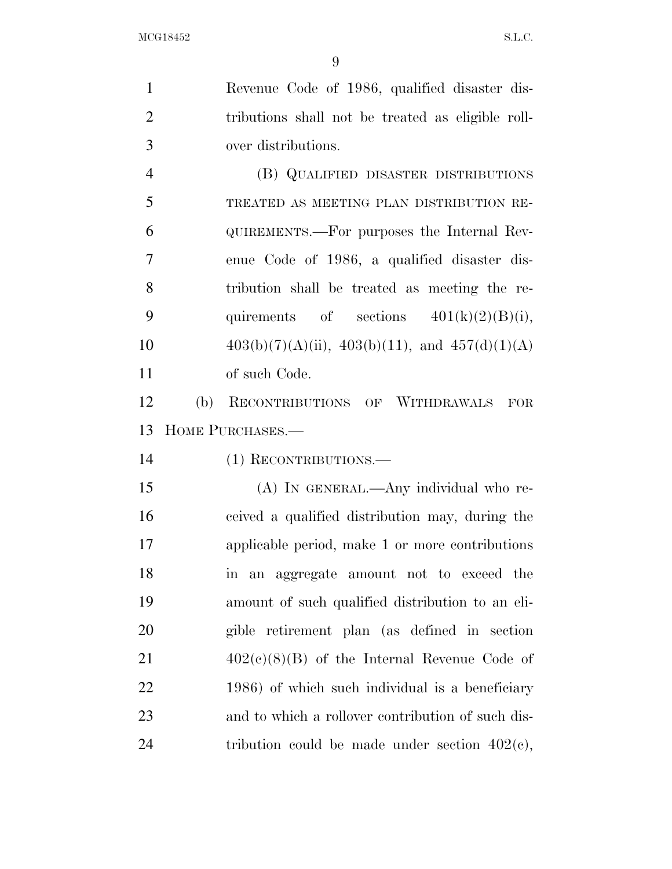| $\mathbf{1}$   |     | Revenue Code of 1986, qualified disaster dis-          |
|----------------|-----|--------------------------------------------------------|
| $\overline{2}$ |     | tributions shall not be treated as eligible roll-      |
| 3              |     | over distributions.                                    |
| $\overline{4}$ |     | (B) QUALIFIED DISASTER DISTRIBUTIONS                   |
| 5              |     | TREATED AS MEETING PLAN DISTRIBUTION RE-               |
| 6              |     | QUIREMENTS.—For purposes the Internal Rev-             |
| 7              |     | enue Code of 1986, a qualified disaster dis-           |
| 8              |     | tribution shall be treated as meeting the re-          |
| 9              |     | quirements of sections $401(k)(2)(B)(i)$ ,             |
| 10             |     | $403(b)(7)(A)(ii)$ , $403(b)(11)$ , and $457(d)(1)(A)$ |
| 11             |     | of such Code.                                          |
| 12             | (b) | RECONTRIBUTIONS OF WITHDRAWALS<br>FOR                  |
| 13             |     | HOME PURCHASES.-                                       |
| 14             |     | (1) RECONTRIBUTIONS.                                   |
| 15             |     | (A) IN GENERAL.—Any individual who re-                 |
| 16             |     | ceived a qualified distribution may, during the        |
| 17             |     | applicable period, make 1 or more contributions        |
| 18             |     | aggregate amount not to exceed the<br>an<br>$\ln$      |
| 19             |     | amount of such qualified distribution to an eli-       |
| 20             |     | gible retirement plan (as defined in section           |
| 21             |     | $402(c)(8)(B)$ of the Internal Revenue Code of         |
| <u>22</u>      |     | 1986) of which such individual is a beneficiary        |
| 23             |     | and to which a rollover contribution of such dis-      |

tribution could be made under section 402(c),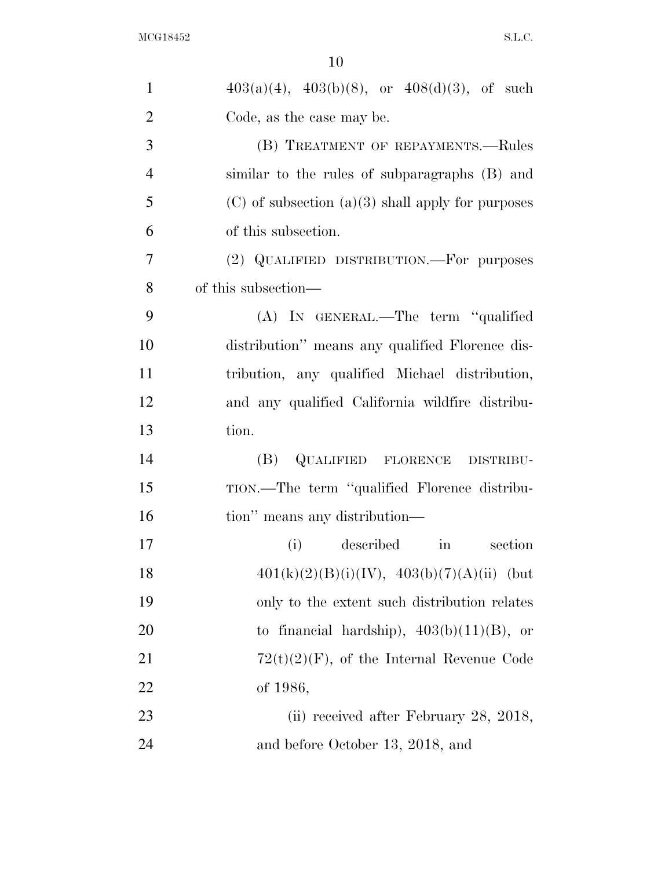| $\mathbf{1}$   | $403(a)(4)$ , $403(b)(8)$ , or $408(d)(3)$ , of such  |
|----------------|-------------------------------------------------------|
| $\overline{2}$ | Code, as the case may be.                             |
| 3              | (B) TREATMENT OF REPAYMENTS.—Rules                    |
| $\overline{4}$ | similar to the rules of subparagraphs (B) and         |
| 5              | $(C)$ of subsection $(a)(3)$ shall apply for purposes |
| 6              | of this subsection.                                   |
| $\overline{7}$ | (2) QUALIFIED DISTRIBUTION.—For purposes              |
| 8              | of this subsection—                                   |
| 9              | (A) IN GENERAL.—The term "qualified                   |
| 10             | distribution" means any qualified Florence dis-       |
| 11             | tribution, any qualified Michael distribution,        |
| 12             | and any qualified California wildfire distribu-       |
| 13             | tion.                                                 |
| 14             | QUALIFIED FLORENCE DISTRIBU-<br>(B)                   |
| 15             | TION.—The term "qualified Florence distribu-          |
| 16             | tion" means any distribution—                         |
| 17             | described<br>section<br>(i)<br>$\operatorname{in}$    |
| 18             | $401(k)(2)(B)(i)(IV), 403(b)(7)(A)(ii)$ (but          |
| 19             | only to the extent such distribution relates          |
| 20             | to financial hardship), $403(b)(11)(B)$ , or          |
| 21             | $72(t)(2)(F)$ , of the Internal Revenue Code          |
| 22             | of 1986,                                              |
| 23             | (ii) received after February 28, 2018,                |
| 24             | and before October 13, 2018, and                      |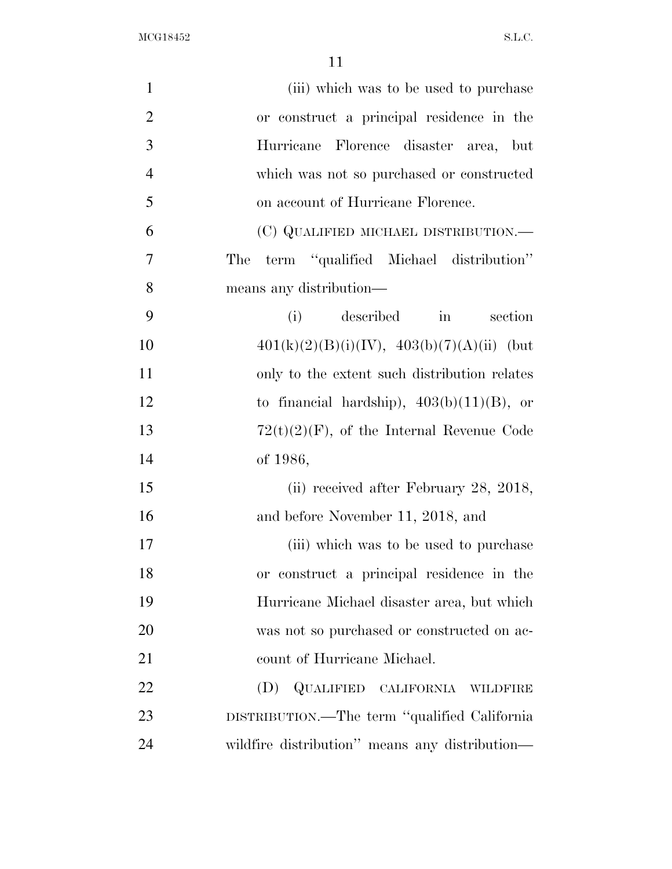| $\mathbf{1}$   | (iii) which was to be used to purchase             |
|----------------|----------------------------------------------------|
| $\overline{2}$ | or construct a principal residence in the          |
| 3              | Hurricane Florence disaster area, but              |
| $\overline{4}$ | which was not so purchased or constructed          |
| 5              | on account of Hurricane Florence.                  |
| 6              | (C) QUALIFIED MICHAEL DISTRIBUTION.—               |
| 7              | term "qualified Michael distribution"<br>The       |
| 8              | means any distribution—                            |
| 9              | described<br>(i)<br>section<br>$\operatorname{in}$ |
| 10             | $401(k)(2)(B)(i)(IV), 403(b)(7)(A)(ii)$ (but       |
| 11             | only to the extent such distribution relates       |
| 12             | to financial hardship), $403(b)(11)(B)$ , or       |
| 13             | $72(t)(2)(F)$ , of the Internal Revenue Code       |
| 14             | of 1986,                                           |
| 15             | (ii) received after February 28, 2018,             |
| 16             | and before November 11, 2018, and                  |
| 17             | (iii) which was to be used to purchase             |
| 18             | or construct a principal residence in the          |
| 19             | Hurricane Michael disaster area, but which         |
| 20             | was not so purchased or constructed on ac-         |
| 21             | count of Hurricane Michael.                        |
| 22             | (D) QUALIFIED CALIFORNIA WILDFIRE                  |
| 23             | DISTRIBUTION.—The term "qualified California"      |
| 24             | wildfire distribution" means any distribution-     |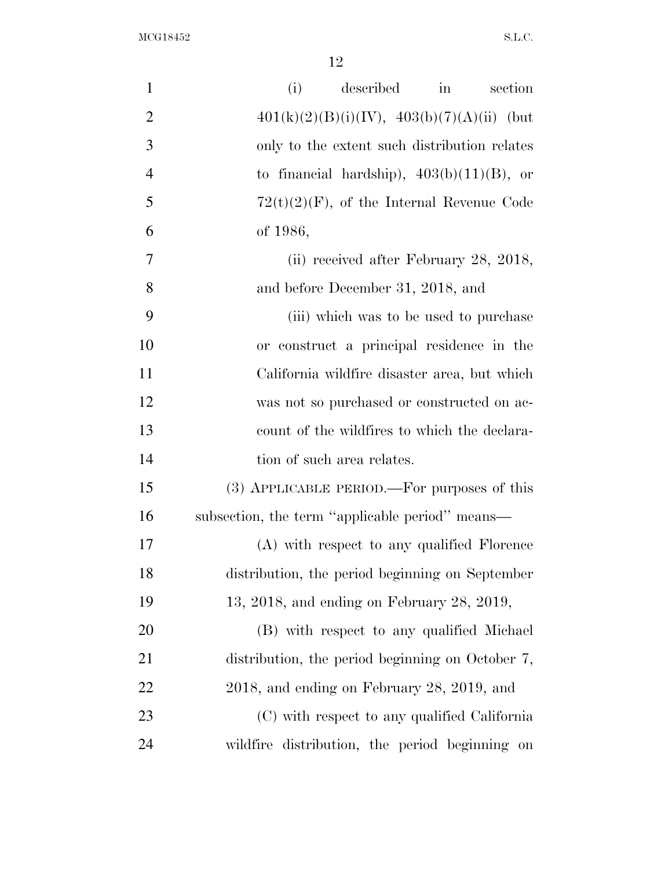| $\mathbf{1}$   | described<br>in<br>(i)<br>section                |
|----------------|--------------------------------------------------|
| $\overline{2}$ | $401(k)(2)(B)(i)(IV), 403(b)(7)(A)(ii)$ (but     |
| 3              | only to the extent such distribution relates     |
| $\overline{4}$ | to financial hardship), $403(b)(11)(B)$ , or     |
| 5              | $72(t)(2)(F)$ , of the Internal Revenue Code     |
| 6              | of 1986,                                         |
| 7              | (ii) received after February 28, 2018,           |
| 8              | and before December 31, 2018, and                |
| 9              | (iii) which was to be used to purchase           |
| 10             | or construct a principal residence in the        |
| 11             | California wildfire disaster area, but which     |
| 12             | was not so purchased or constructed on ac-       |
| 13             | count of the wildfires to which the declara-     |
| 14             | tion of such area relates.                       |
| 15             | (3) APPLICABLE PERIOD.—For purposes of this      |
| 16             | subsection, the term "applicable period" means—  |
| 17             | (A) with respect to any qualified Florence       |
| 18             | distribution, the period beginning on September  |
| 19             | $13, 2018,$ and ending on February 28, 2019,     |
| 20             | (B) with respect to any qualified Michael        |
| 21             | distribution, the period beginning on October 7, |
| 22             | $2018$ , and ending on February 28, 2019, and    |
| 23             | (C) with respect to any qualified California     |
| 24             | wildfire distribution, the period beginning on   |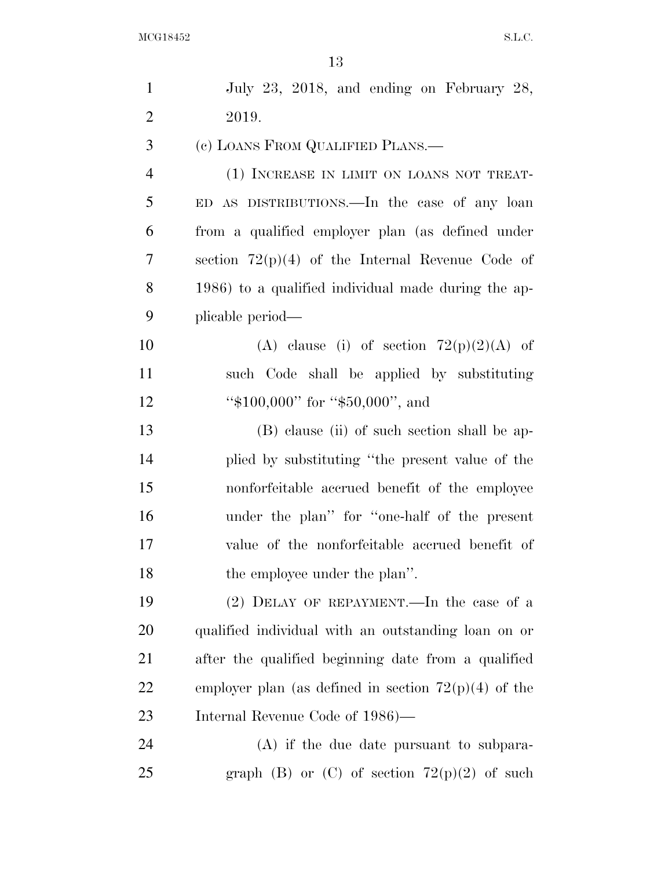| $\mathbf{1}$   | July 23, 2018, and ending on February 28,              |
|----------------|--------------------------------------------------------|
| $\overline{2}$ | 2019.                                                  |
| 3              | (c) LOANS FROM QUALIFIED PLANS.                        |
| $\overline{4}$ | (1) INCREASE IN LIMIT ON LOANS NOT TREAT-              |
| 5              | ED AS DISTRIBUTIONS. In the case of any loan           |
| 6              | from a qualified employer plan (as defined under       |
| 7              | section $72(p)(4)$ of the Internal Revenue Code of     |
| 8              | 1986) to a qualified individual made during the ap-    |
| 9              | plicable period—                                       |
| 10             | (A) clause (i) of section $72(p)(2)(A)$ of             |
| 11             | such Code shall be applied by substituting             |
| 12             | " $$100,000$ " for " $$50,000$ ", and                  |
| 13             | (B) clause (ii) of such section shall be ap-           |
| 14             | plied by substituting "the present value of the        |
| 15             | nonforfeitable accrued benefit of the employee         |
| 16             | under the plan" for "one-half of the present           |
| 17             | value of the nonforfeitable accrued benefit of         |
| 18             | the employee under the plan".                          |
| 19             | (2) DELAY OF REPAYMENT.—In the case of a               |
| 20             | qualified individual with an outstanding loan on or    |
| 21             | after the qualified beginning date from a qualified    |
| 22             | employer plan (as defined in section $72(p)(4)$ of the |
| 23             | Internal Revenue Code of 1986)—                        |
| 24             | $(A)$ if the due date pursuant to subpara-             |
| 25             | graph (B) or (C) of section $72(p)(2)$ of such         |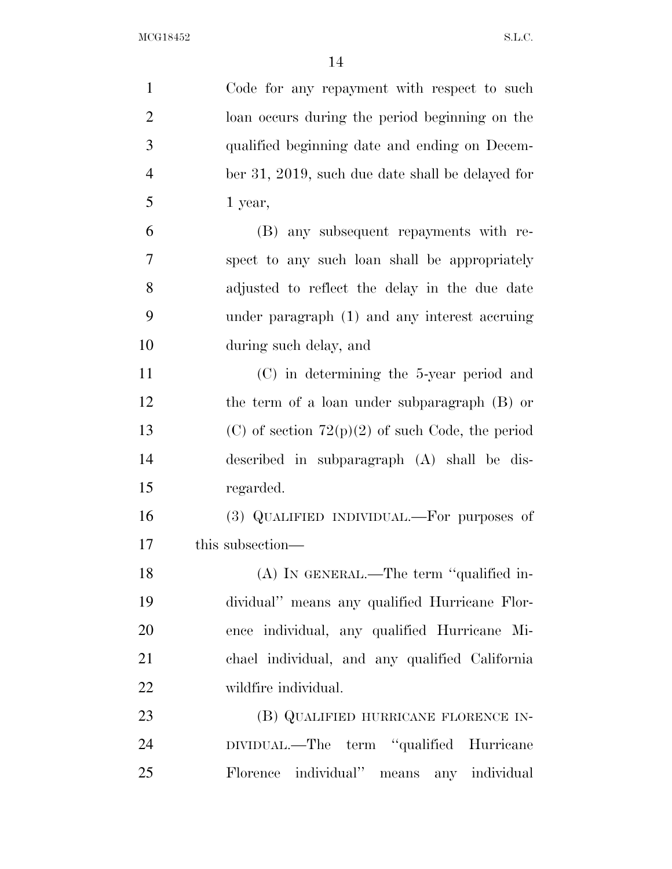| $\mathbf{1}$   | Code for any repayment with respect to such        |
|----------------|----------------------------------------------------|
| $\overline{2}$ | loan occurs during the period beginning on the     |
| 3              | qualified beginning date and ending on Decem-      |
| $\overline{4}$ | ber 31, 2019, such due date shall be delayed for   |
| 5              | 1 year,                                            |
| 6              | (B) any subsequent repayments with re-             |
| 7              | spect to any such loan shall be appropriately      |
| 8              | adjusted to reflect the delay in the due date      |
| 9              | under paragraph (1) and any interest accruing      |
| 10             | during such delay, and                             |
| 11             | $(C)$ in determining the 5-year period and         |
| 12             | the term of a loan under subparagraph (B) or       |
| 13             | (C) of section $72(p)(2)$ of such Code, the period |
| 14             | described in subparagraph (A) shall be dis-        |
| 15             | regarded.                                          |
| 16             | (3) QUALIFIED INDIVIDUAL.—For purposes of          |
| 17             | this subsection—                                   |
| 18             | $(A)$ In GENERAL.—The term "qualified in-          |
| 19             | dividual" means any qualified Hurricane Flor-      |
| 20             | ence individual, any qualified Hurricane Mi-       |
| 21             | chael individual, and any qualified California     |
| 22             | wildfire individual.                               |
| 23             | (B) QUALIFIED HURRICANE FLORENCE IN-               |
| 24             | DIVIDUAL.—The term "qualified Hurricane            |
| 25             | Florence individual" means any individual          |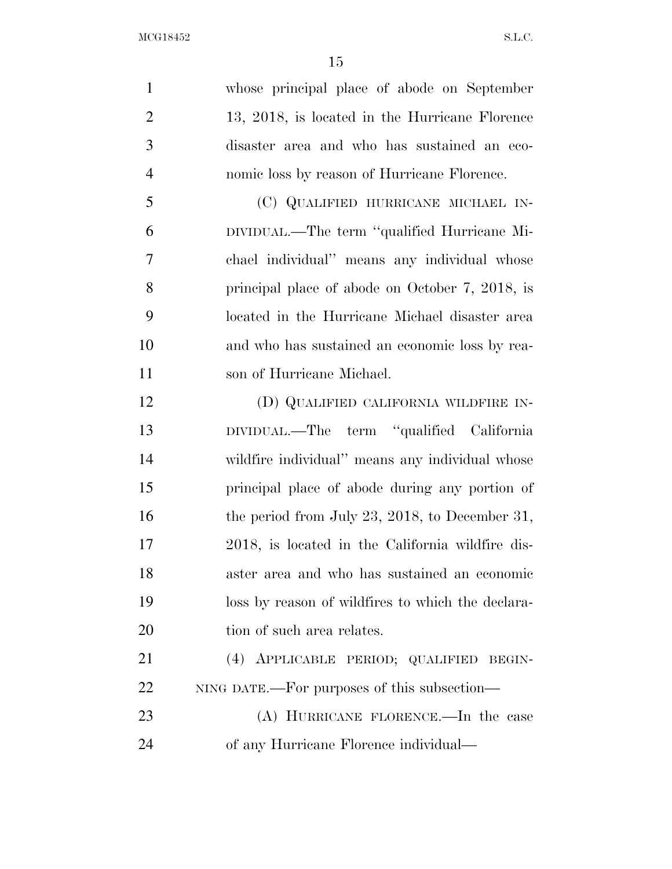whose principal place of abode on September 13, 2018, is located in the Hurricane Florence disaster area and who has sustained an eco- nomic loss by reason of Hurricane Florence. (C) QUALIFIED HURRICANE MICHAEL IN- DIVIDUAL.—The term ''qualified Hurricane Mi- chael individual'' means any individual whose principal place of abode on October 7, 2018, is located in the Hurricane Michael disaster area and who has sustained an economic loss by rea- son of Hurricane Michael. (D) QUALIFIED CALIFORNIA WILDFIRE IN- DIVIDUAL.—The term ''qualified California wildfire individual'' means any individual whose principal place of abode during any portion of 16 the period from July 23, 2018, to December 31, 2018, is located in the California wildfire dis- aster area and who has sustained an economic loss by reason of wildfires to which the declara-20 tion of such area relates. (4) APPLICABLE PERIOD; QUALIFIED BEGIN- NING DATE.—For purposes of this subsection— (A) HURRICANE FLORENCE.—In the case of any Hurricane Florence individual—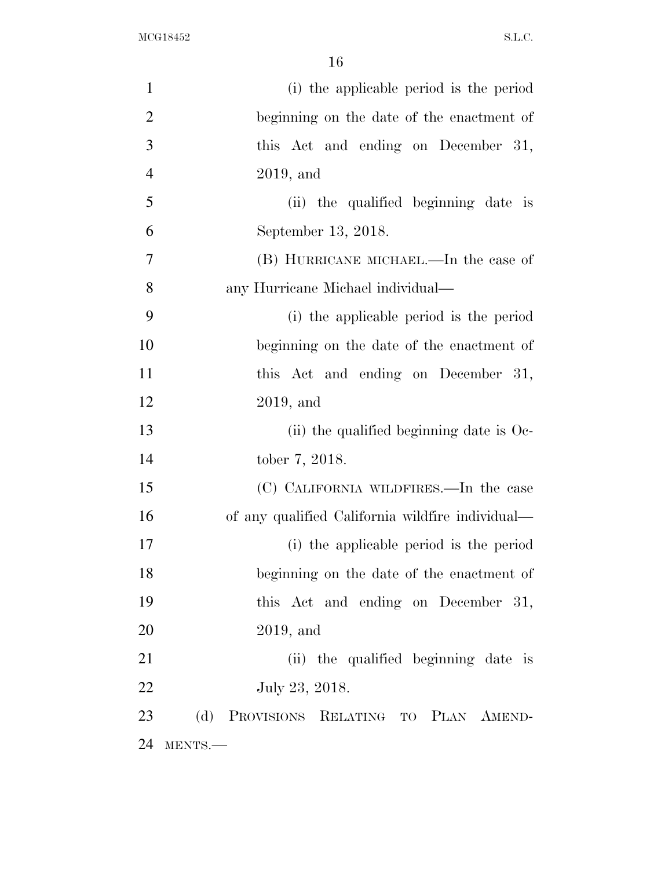| $\mathbf{1}$   | (i) the applicable period is the period          |
|----------------|--------------------------------------------------|
| $\overline{2}$ | beginning on the date of the enactment of        |
| 3              | this Act and ending on December 31,              |
| $\overline{4}$ | $2019$ , and                                     |
| 5              | (ii) the qualified beginning date is             |
| 6              | September 13, 2018.                              |
| $\overline{7}$ | (B) HURRICANE MICHAEL.—In the case of            |
| 8              | any Hurricane Michael individual—                |
| 9              | (i) the applicable period is the period          |
| 10             | beginning on the date of the enactment of        |
| 11             | this Act and ending on December 31,              |
| 12             | $2019$ , and                                     |
| 13             | (ii) the qualified beginning date is $Oe$ -      |
| 14             | tober 7, 2018.                                   |
| 15             | (C) CALIFORNIA WILDFIRES.—In the case            |
| 16             | of any qualified California wildfire individual— |
| 17             | (i) the applicable period is the period          |
| 18             | beginning on the date of the enactment of        |
| 19             | this Act and ending on December 31,              |
| 20             | $2019$ , and                                     |
| 21             | (ii) the qualified beginning date is             |
| 22             | July 23, 2018.                                   |
| 23             | (d) PROVISIONS RELATING TO PLAN AMEND-           |
| 24             | MENTS.                                           |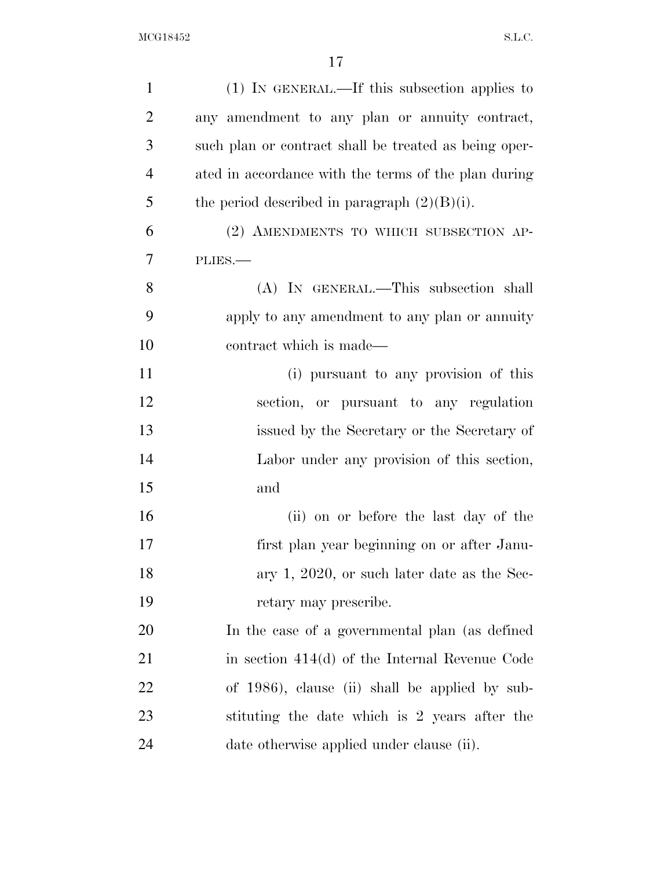| $\mathbf{1}$   | (1) IN GENERAL.—If this subsection applies to         |
|----------------|-------------------------------------------------------|
| $\overline{2}$ | any amendment to any plan or annuity contract,        |
| 3              | such plan or contract shall be treated as being oper- |
| $\overline{4}$ | ated in accordance with the terms of the plan during  |
| 5              | the period described in paragraph $(2)(B)(i)$ .       |
| 6              | (2) AMENDMENTS TO WHICH SUBSECTION AP-                |
| 7              | PLIES.                                                |
| 8              | (A) IN GENERAL.—This subsection shall                 |
| 9              | apply to any amendment to any plan or annuity         |
| 10             | contract which is made—                               |
| 11             | (i) pursuant to any provision of this                 |
| 12             | section, or pursuant to any regulation                |
| 13             | issued by the Secretary or the Secretary of           |
| 14             | Labor under any provision of this section,            |
| 15             | and                                                   |
| 16             | (ii) on or before the last day of the                 |
| 17             | first plan year beginning on or after Janu-           |
| 18             | ary 1, 2020, or such later date as the Sec-           |
| 19             | retary may prescribe.                                 |
| 20             | In the case of a governmental plan (as defined        |
| 21             | in section $414(d)$ of the Internal Revenue Code      |
| 22             | of 1986), clause (ii) shall be applied by sub-        |
| 23             | stituting the date which is 2 years after the         |
| 24             | date otherwise applied under clause (ii).             |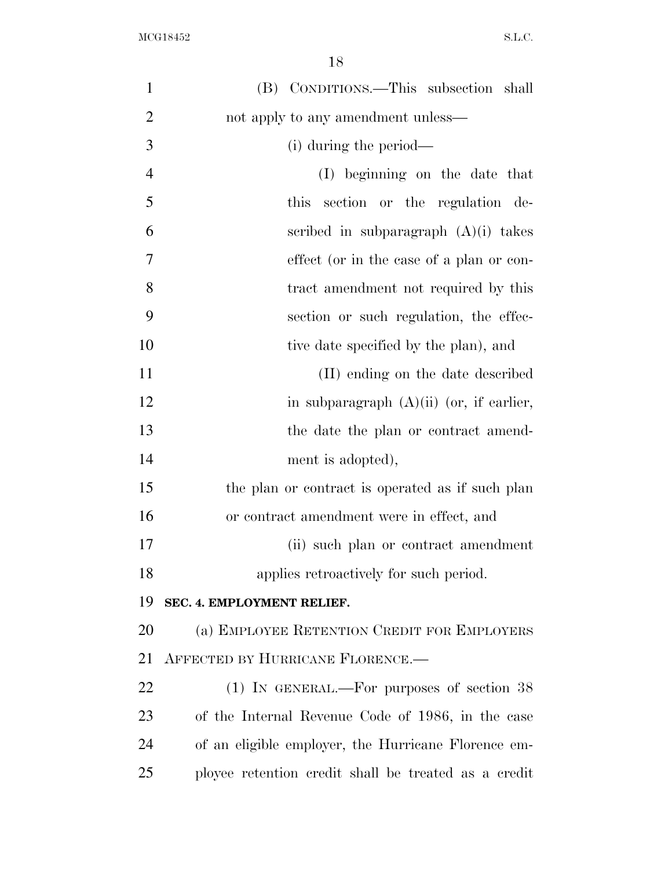| $\mathbf{1}$   | (B) CONDITIONS.—This subsection shall                |
|----------------|------------------------------------------------------|
| $\overline{2}$ | not apply to any amendment unless—                   |
| 3              | (i) during the period—                               |
| $\overline{4}$ | (I) beginning on the date that                       |
| 5              | this<br>section or the regulation de-                |
| 6              | scribed in subparagraph $(A)(i)$ takes               |
| 7              | effect (or in the case of a plan or con-             |
| 8              | tract amendment not required by this                 |
| 9              | section or such regulation, the effec-               |
| 10             | tive date specified by the plan), and                |
| 11             | (II) ending on the date described                    |
| 12             | in subparagraph $(A)(ii)$ (or, if earlier,           |
| 13             | the date the plan or contract amend-                 |
| 14             | ment is adopted),                                    |
| 15             | the plan or contract is operated as if such plan     |
| 16             | or contract amendment were in effect, and            |
| 17             | (ii) such plan or contract amendment                 |
| 18             | applies retroactively for such period.               |
| 19             | SEC. 4. EMPLOYMENT RELIEF.                           |
| 20             | (a) EMPLOYEE RETENTION CREDIT FOR EMPLOYERS          |
| 21             | AFFECTED BY HURRICANE FLORENCE.-                     |
| 22             | $(1)$ IN GENERAL.—For purposes of section 38         |
| 23             | of the Internal Revenue Code of 1986, in the case    |
| 24             | of an eligible employer, the Hurricane Florence em-  |
| 25             | ployee retention credit shall be treated as a credit |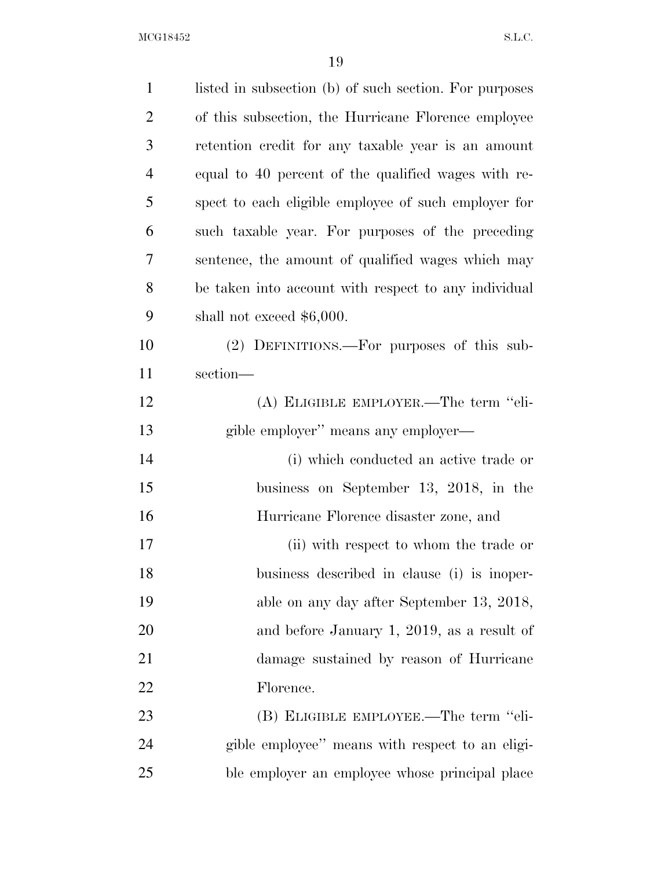| $\mathbf{1}$   | listed in subsection (b) of such section. For purposes |
|----------------|--------------------------------------------------------|
| $\overline{2}$ | of this subsection, the Hurricane Florence employee    |
| 3              | retention credit for any taxable year is an amount     |
| $\overline{4}$ | equal to 40 percent of the qualified wages with re-    |
| 5              | spect to each eligible employee of such employer for   |
| 6              | such taxable year. For purposes of the preceding       |
| 7              | sentence, the amount of qualified wages which may      |
| 8              | be taken into account with respect to any individual   |
| 9              | shall not exceed $$6,000$ .                            |
| 10             | (2) DEFINITIONS.—For purposes of this sub-             |
| 11             | section-                                               |
| 12             | (A) ELIGIBLE EMPLOYER.—The term "eli-                  |
| 13             | gible employer" means any employer—                    |
| 14             | (i) which conducted an active trade or                 |
| 15             | business on September 13, 2018, in the                 |
| 16             | Hurricane Florence disaster zone, and                  |
| 17             | (ii) with respect to whom the trade or                 |
| 18             | business described in clause (i) is inoper-            |
| 19             | able on any day after September 13, 2018,              |
| 20             | and before January 1, 2019, as a result of             |
| 21             | damage sustained by reason of Hurricane                |
| 22             | Florence.                                              |
| 23             | (B) ELIGIBLE EMPLOYEE.—The term "eli-                  |
| 24             | gible employee" means with respect to an eligi-        |
| 25             | ble employer an employee whose principal place         |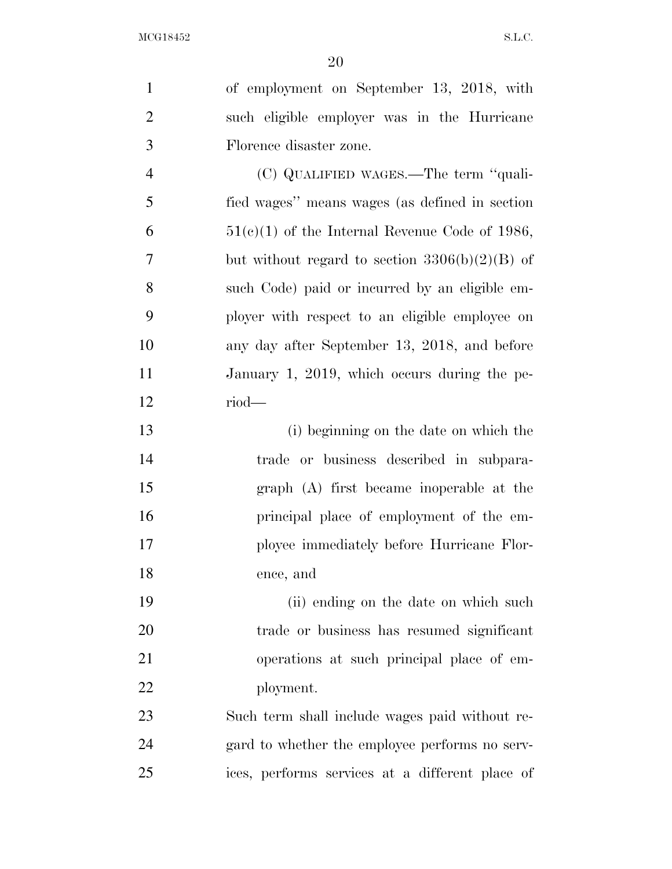of employment on September 13, 2018, with such eligible employer was in the Hurricane Florence disaster zone. (C) QUALIFIED WAGES.—The term ''quali- fied wages'' means wages (as defined in section  $6 \qquad \qquad 51(c)(1)$  of the Internal Revenue Code of 1986, but without regard to section 3306(b)(2)(B) of such Code) paid or incurred by an eligible em- ployer with respect to an eligible employee on any day after September 13, 2018, and before January 1, 2019, which occurs during the pe- riod— (i) beginning on the date on which the trade or business described in subpara- graph (A) first became inoperable at the principal place of employment of the em- ployee immediately before Hurricane Flor- ence, and 19 (ii) ending on the date on which such trade or business has resumed significant operations at such principal place of em- ployment. Such term shall include wages paid without re- gard to whether the employee performs no serv-ices, performs services at a different place of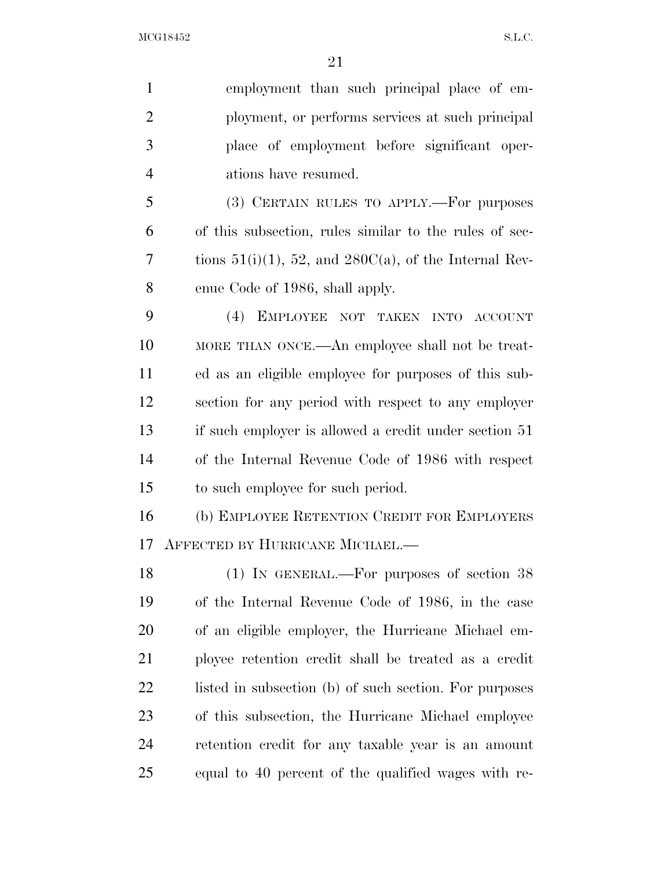|                | 4                                                           |
|----------------|-------------------------------------------------------------|
| $\mathbf{1}$   | employment than such principal place of em-                 |
| $\overline{2}$ | ployment, or performs services at such principal            |
| 3              | place of employment before significant oper-                |
| $\overline{4}$ | ations have resumed.                                        |
| 5              | (3) CERTAIN RULES TO APPLY.—For purposes                    |
| 6              | of this subsection, rules similar to the rules of sec-      |
| 7              | tions $51(i)(1)$ , 52, and $280C(a)$ , of the Internal Rev- |
| 8              | enue Code of 1986, shall apply.                             |
| 9              | (4)<br>EMPLOYEE NOT TAKEN INTO<br><b>ACCOUNT</b>            |
| 10             | MORE THAN ONCE.—An employee shall not be treat-             |
| 11             | ed as an eligible employee for purposes of this sub-        |
| 12             | section for any period with respect to any employer         |
| 13             | if such employer is allowed a credit under section 51       |
| 14             | of the Internal Revenue Code of 1986 with respect           |
| 15             | to such employee for such period.                           |
| 16             | (b) EMPLOYEE RETENTION CREDIT FOR EMPLOYERS                 |
| 17             | AFFECTED BY HURRICANE MICHAEL.—                             |
| 18             | $(1)$ IN GENERAL.—For purposes of section 38                |
| 19             | of the Internal Revenue Code of 1986, in the case           |
| 20             | of an eligible employer, the Hurricane Michael em-          |
| 21             | ployee retention credit shall be treated as a credit        |
| 22             | listed in subsection (b) of such section. For purposes      |
| 23             | of this subsection, the Hurricane Michael employee          |
| 24             | retention credit for any taxable year is an amount          |

equal to 40 percent of the qualified wages with re-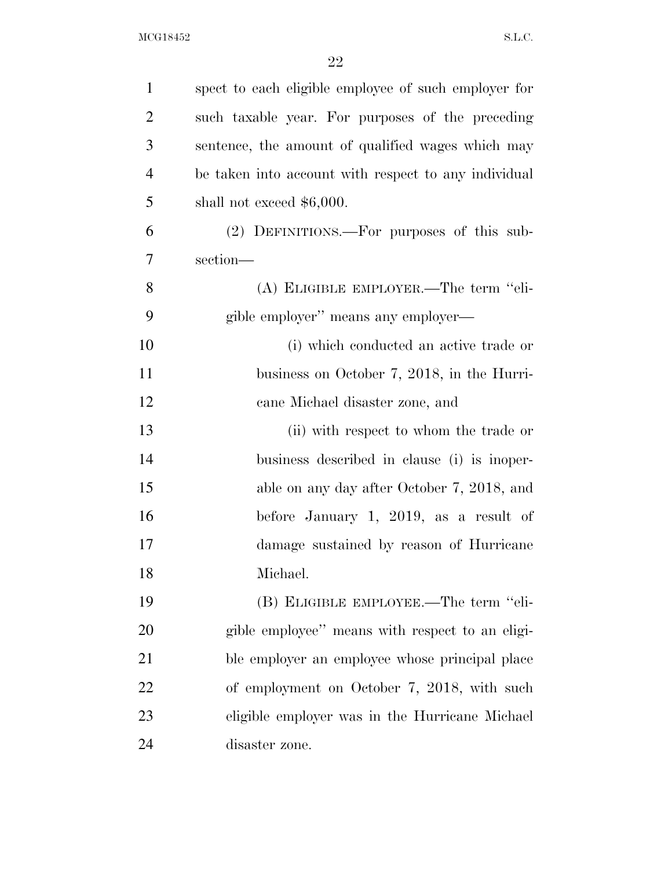| $\mathbf{1}$   | spect to each eligible employee of such employer for |
|----------------|------------------------------------------------------|
| $\overline{2}$ | such taxable year. For purposes of the preceding     |
| 3              | sentence, the amount of qualified wages which may    |
| $\overline{4}$ | be taken into account with respect to any individual |
| 5              | shall not exceed $$6,000$ .                          |
| 6              | (2) DEFINITIONS.—For purposes of this sub-           |
| 7              | section-                                             |
| 8              | (A) ELIGIBLE EMPLOYER.—The term "eli-                |
| 9              | gible employer" means any employer—                  |
| 10             | (i) which conducted an active trade or               |
| 11             | business on October 7, 2018, in the Hurri-           |
| 12             | cane Michael disaster zone, and                      |
| 13             | (ii) with respect to whom the trade or               |
| 14             | business described in clause (i) is inoper-          |
| 15             | able on any day after October 7, 2018, and           |
| 16             | before January 1, 2019, as a result of               |
| 17             | damage sustained by reason of Hurricane              |
| 18             | Michael.                                             |
| 19             | (B) ELIGIBLE EMPLOYEE.—The term "eli-                |
| 20             | gible employee" means with respect to an eligi-      |
| 21             | ble employer an employee whose principal place       |
| 22             | of employment on October 7, 2018, with such          |
| 23             | eligible employer was in the Hurricane Michael       |
| 24             | disaster zone.                                       |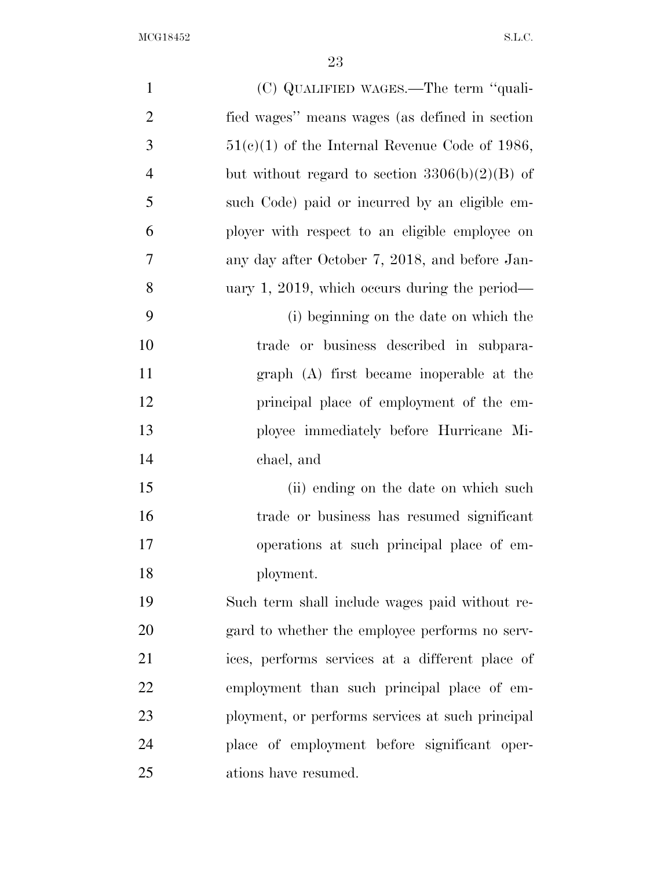$\rm{MCG18452}\qquad \qquad \ \, \rm{S.L.C.}$ 

| $\mathbf{1}$   | (C) QUALIFIED WAGES.—The term "quali-            |
|----------------|--------------------------------------------------|
| $\overline{2}$ | fied wages" means wages (as defined in section   |
| 3              | $51(c)(1)$ of the Internal Revenue Code of 1986, |
| $\overline{4}$ | but without regard to section $3306(b)(2)(B)$ of |
| 5              | such Code) paid or incurred by an eligible em-   |
| 6              | ployer with respect to an eligible employee on   |
| 7              | any day after October 7, 2018, and before Jan-   |
| 8              | uary 1, 2019, which occurs during the period—    |
| 9              | (i) beginning on the date on which the           |
| 10             | trade or business described in subpara-          |
| 11             | graph (A) first became inoperable at the         |
| 12             | principal place of employment of the em-         |
| 13             | ployee immediately before Hurricane Mi-          |
| 14             | chael, and                                       |
| 15             | (ii) ending on the date on which such            |
| 16             | trade or business has resumed significant        |
| 17             | operations at such principal place of em-        |
| 18             | ployment.                                        |
| 19             | Such term shall include wages paid without re-   |
| 20             | gard to whether the employee performs no serv-   |
| 21             | ices, performs services at a different place of  |
| 22             | employment than such principal place of em-      |
| 23             | ployment, or performs services at such principal |
| 24             | place of employment before significant oper-     |
| 25             | ations have resumed.                             |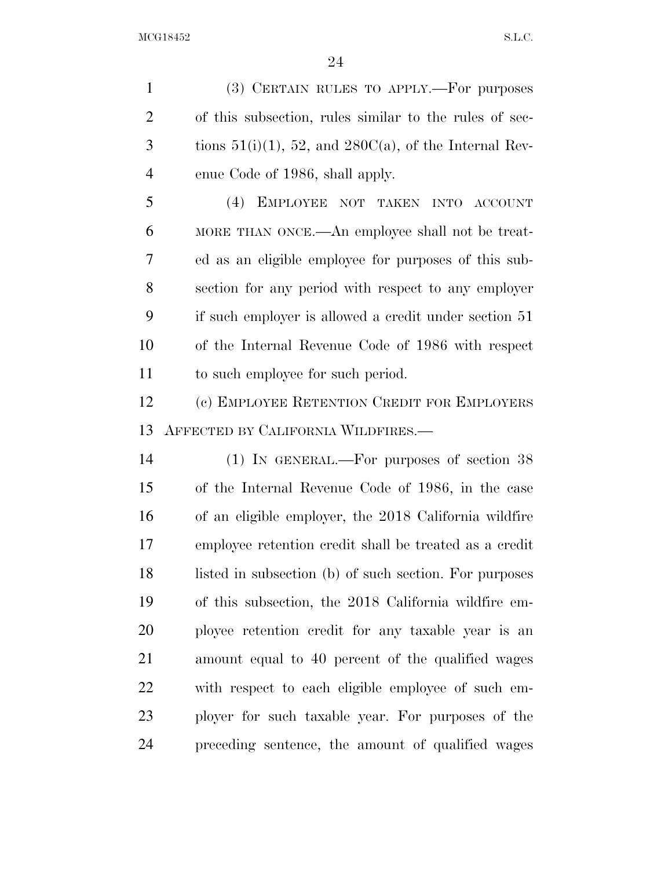(3) CERTAIN RULES TO APPLY.—For purposes of this subsection, rules similar to the rules of sec-3 tions  $51(i)(1)$ ,  $52$ , and  $280C(a)$ , of the Internal Rev-enue Code of 1986, shall apply.

 (4) EMPLOYEE NOT TAKEN INTO ACCOUNT MORE THAN ONCE.—An employee shall not be treat- ed as an eligible employee for purposes of this sub- section for any period with respect to any employer if such employer is allowed a credit under section 51 of the Internal Revenue Code of 1986 with respect to such employee for such period.

 (c) EMPLOYEE RETENTION CREDIT FOR EMPLOYERS AFFECTED BY CALIFORNIA WILDFIRES.—

 (1) IN GENERAL.—For purposes of section 38 of the Internal Revenue Code of 1986, in the case of an eligible employer, the 2018 California wildfire employee retention credit shall be treated as a credit 18 listed in subsection (b) of such section. For purposes of this subsection, the 2018 California wildfire em- ployee retention credit for any taxable year is an amount equal to 40 percent of the qualified wages with respect to each eligible employee of such em- ployer for such taxable year. For purposes of the preceding sentence, the amount of qualified wages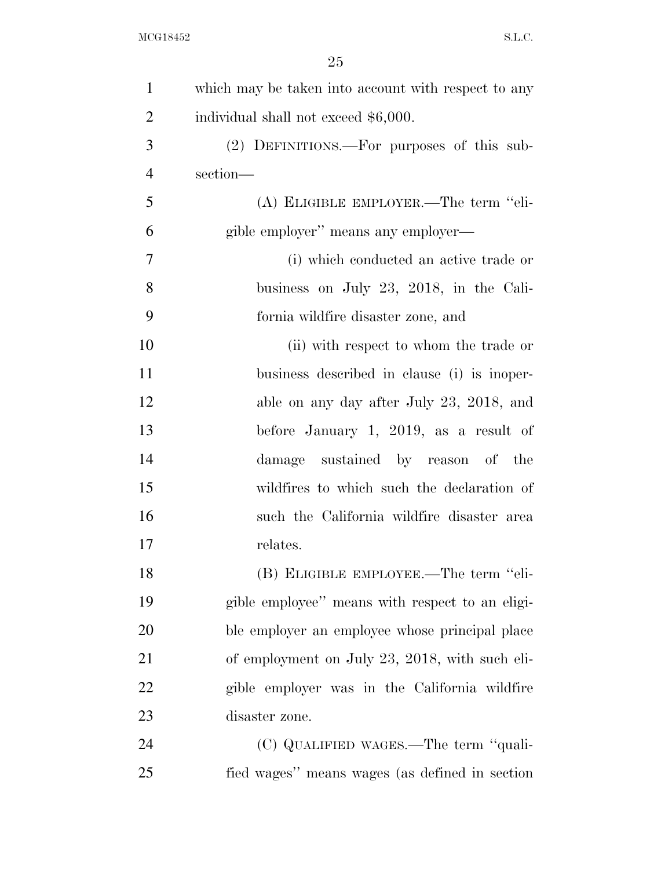| $\mathbf{1}$   | which may be taken into account with respect to any |
|----------------|-----------------------------------------------------|
| $\overline{2}$ | individual shall not exceed \$6,000.                |
| 3              | (2) DEFINITIONS.—For purposes of this sub-          |
| $\overline{4}$ | section-                                            |
| 5              | (A) ELIGIBLE EMPLOYER.—The term "eli-               |
| 6              | gible employer" means any employer—                 |
| 7              | (i) which conducted an active trade or              |
| 8              | business on July 23, 2018, in the Cali-             |
| 9              | fornia wildfire disaster zone, and                  |
| 10             | (ii) with respect to whom the trade or              |
| 11             | business described in clause (i) is inoper-         |
| 12             | able on any day after July 23, 2018, and            |
| 13             | before January 1, 2019, as a result of              |
| 14             | damage sustained by reason of the                   |
| 15             | wildfires to which such the declaration of          |
| 16             | such the California wildfire disaster area          |
| 17             | relates.                                            |
| 18             | (B) ELIGIBLE EMPLOYEE.—The term "eli-               |
| 19             | gible employee" means with respect to an eligi-     |
| 20             | ble employer an employee whose principal place      |
| 21             | of employment on July 23, 2018, with such eli-      |
| 22             | gible employer was in the California wildfire       |
| 23             | disaster zone.                                      |
| 24             | (C) QUALIFIED WAGES.—The term "quali-               |
| 25             | fied wages" means wages (as defined in section      |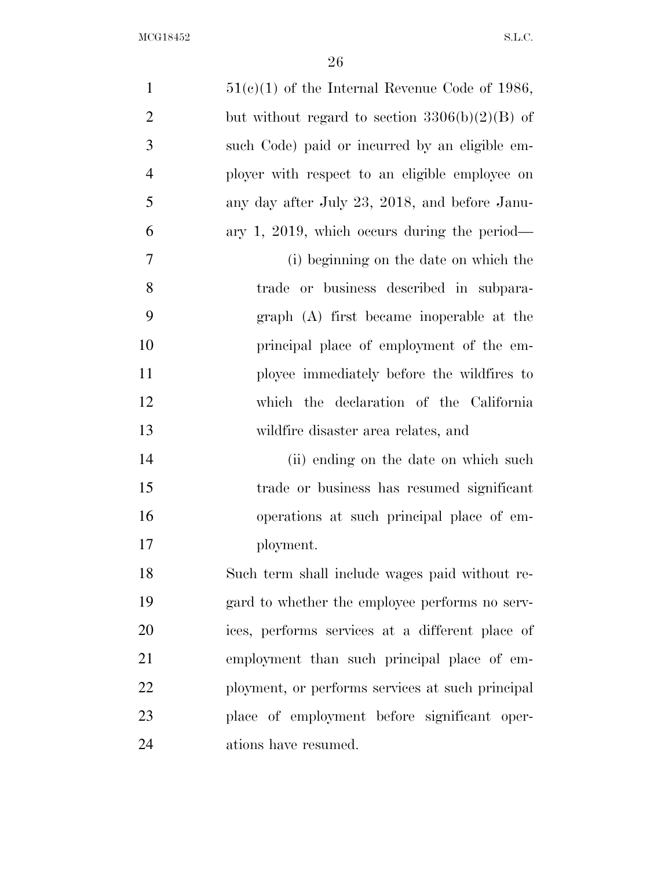| $\mathbf{1}$   | $51(c)(1)$ of the Internal Revenue Code of 1986, |
|----------------|--------------------------------------------------|
| $\overline{2}$ | but without regard to section $3306(b)(2)(B)$ of |
| 3              | such Code) paid or incurred by an eligible em-   |
| 4              | ployer with respect to an eligible employee on   |
| 5              | any day after July 23, 2018, and before Janu-    |
| 6              | ary 1, 2019, which occurs during the period—     |
| $\tau$         | (i) beginning on the date on which the           |
| 8              | trade or business described in subpara-          |
| 9              | graph (A) first became inoperable at the         |
| 10             | principal place of employment of the em-         |
| 11             | ployee immediately before the wildfires to       |
| 12             | which the declaration of the California          |
| 13             | wildfire disaster area relates, and              |
| 14             | (ii) ending on the date on which such            |
| 15             | trade or business has resumed significant        |
| 16             | operations at such principal place of em-        |
| 17             | ployment.                                        |
| 18             | Such term shall include wages paid without re-   |
| 19             | gard to whether the employee performs no serv-   |
| 20             | ices, performs services at a different place of  |
| 21             | employment than such principal place of em-      |
| 22             | ployment, or performs services at such principal |
| 23             | place of employment before significant oper-     |
| 24             | ations have resumed.                             |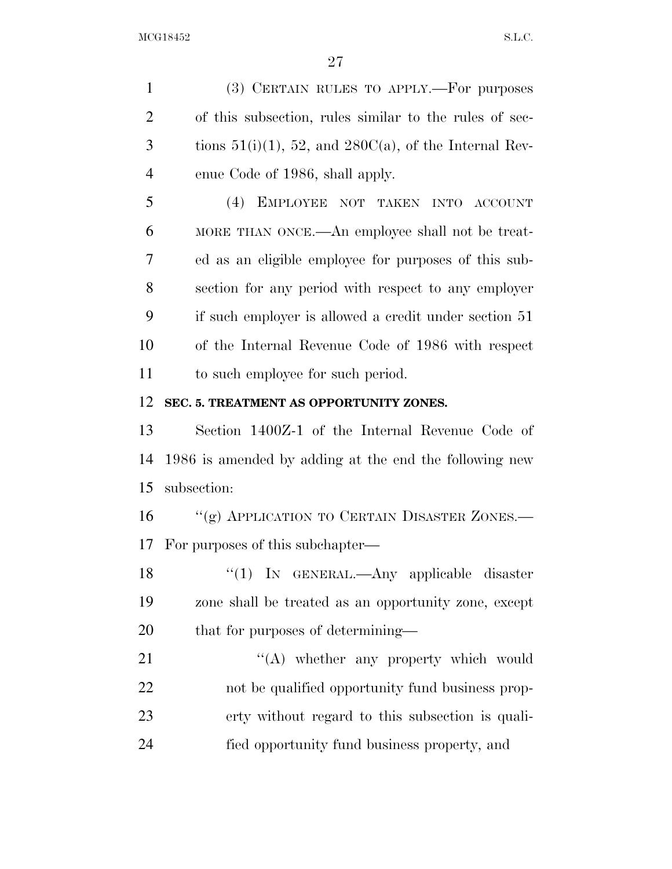(3) CERTAIN RULES TO APPLY.—For purposes of this subsection, rules similar to the rules of sec-3 tions  $51(i)(1)$ ,  $52$ , and  $280C(a)$ , of the Internal Rev- enue Code of 1986, shall apply. (4) EMPLOYEE NOT TAKEN INTO ACCOUNT MORE THAN ONCE.—An employee shall not be treat- ed as an eligible employee for purposes of this sub- section for any period with respect to any employer if such employer is allowed a credit under section 51 of the Internal Revenue Code of 1986 with respect to such employee for such period. **SEC. 5. TREATMENT AS OPPORTUNITY ZONES.**  Section 1400Z-1 of the Internal Revenue Code of 1986 is amended by adding at the end the following new subsection: 16 "(g) APPLICATION TO CERTAIN DISASTER ZONES.— For purposes of this subchapter— ''(1) IN GENERAL.—Any applicable disaster zone shall be treated as an opportunity zone, except 20 that for purposes of determining— 21 "(A) whether any property which would

 not be qualified opportunity fund business prop- erty without regard to this subsection is quali-fied opportunity fund business property, and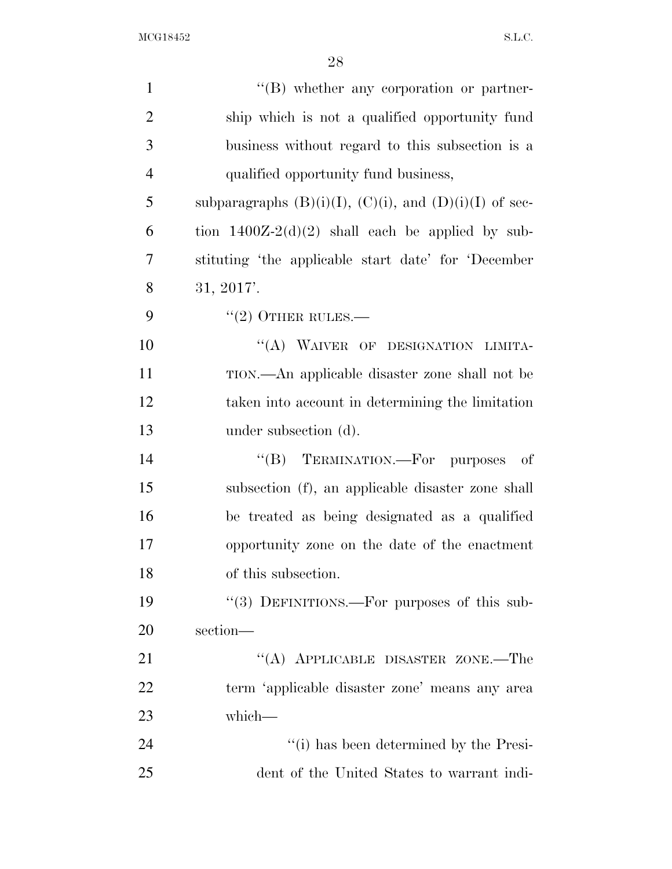| $\mathbf{1}$   | $\lq\lq(B)$ whether any corporation or partner-                |
|----------------|----------------------------------------------------------------|
| $\overline{2}$ | ship which is not a qualified opportunity fund                 |
| 3              | business without regard to this subsection is a                |
| $\overline{4}$ | qualified opportunity fund business,                           |
| 5              | subparagraphs $(B)(i)(I)$ , $(C)(i)$ , and $(D)(i)(I)$ of sec- |
| 6              | tion $1400Z-2(d)(2)$ shall each be applied by sub-             |
| $\overline{7}$ | stituting 'the applicable start date' for 'December            |
| 8              | 31, 2017'.                                                     |
| 9              | $"(2)$ OTHER RULES.—                                           |
| 10             | "(A) WAIVER OF DESIGNATION LIMITA-                             |
| 11             | TION.—An applicable disaster zone shall not be                 |
| 12             | taken into account in determining the limitation               |
| 13             | under subsection (d).                                          |
| 14             | "(B) TERMINATION.—For purposes<br>- of                         |
| 15             | subsection (f), an applicable disaster zone shall              |
| 16             | be treated as being designated as a qualified                  |
| 17             | opportunity zone on the date of the enactment                  |
| 18             | of this subsection.                                            |
| 19             | "(3) DEFINITIONS.—For purposes of this sub-                    |
| 20             | section-                                                       |
| 21             | "(A) APPLICABLE DISASTER ZONE.—The                             |
| 22             | term 'applicable disaster zone' means any area                 |
| 23             | which-                                                         |
| 24             | "(i) has been determined by the Presi-                         |
| 25             | dent of the United States to warrant indi-                     |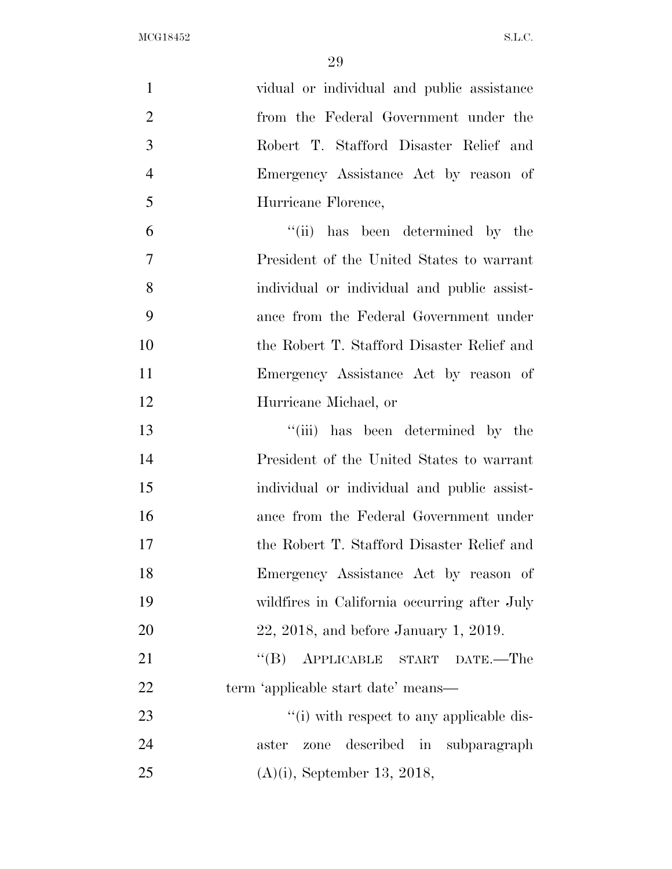| $\mathbf{1}$   | vidual or individual and public assistance   |
|----------------|----------------------------------------------|
| $\overline{2}$ | from the Federal Government under the        |
| 3              | Robert T. Stafford Disaster Relief and       |
| $\overline{4}$ | Emergency Assistance Act by reason of        |
| 5              | Hurricane Florence,                          |
| 6              | "(ii) has been determined by the             |
| 7              | President of the United States to warrant    |
| 8              | individual or individual and public assist-  |
| 9              | ance from the Federal Government under       |
| 10             | the Robert T. Stafford Disaster Relief and   |
| 11             | Emergency Assistance Act by reason of        |
| 12             | Hurricane Michael, or                        |
| 13             | "(iii) has been determined by the            |
| 14             | President of the United States to warrant    |
| 15             | individual or individual and public assist-  |
| 16             | ance from the Federal Government under       |
| 17             | the Robert T. Stafford Disaster Relief and   |
| 18             | Emergency Assistance Act by reason of        |
| 19             | wildfires in California occurring after July |
| 20             | $22, 2018,$ and before January 1, 2019.      |
| 21             | $\lq\lq (B)$<br>APPLICABLE START DATE.-The   |
| 22             | term 'applicable start date' means—          |
| 23             | "(i) with respect to any applicable dis-     |
| 24             | described in subparagraph<br>aster<br>zone   |
| 25             | $(A)(i)$ , September 13, 2018,               |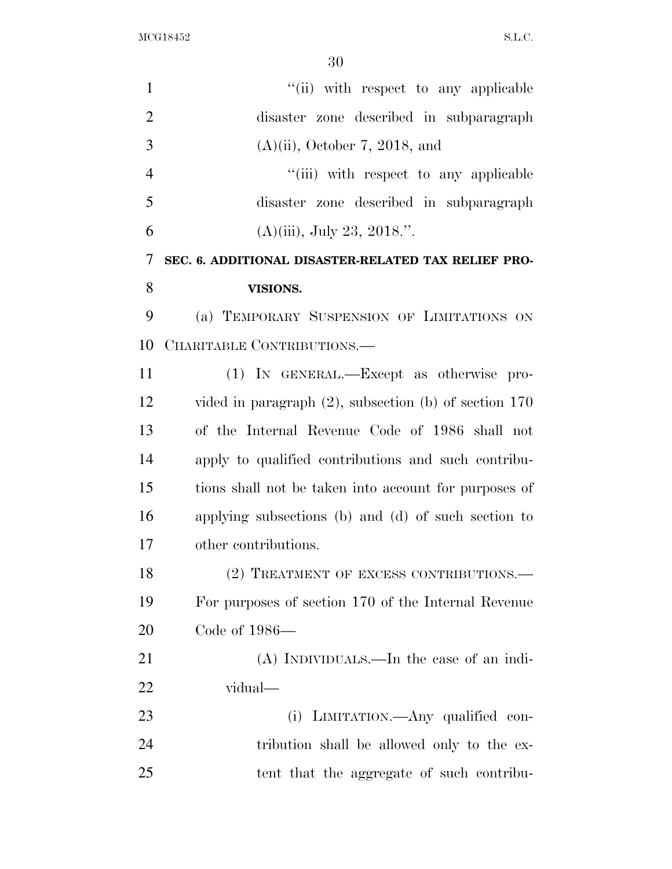| $\mathbf{1}$   | "(ii) with respect to any applicable                       |
|----------------|------------------------------------------------------------|
| $\overline{2}$ | disaster zone described in subparagraph                    |
| 3              | $(A)(ii)$ , October 7, 2018, and                           |
| $\overline{4}$ | "(iii) with respect to any applicable                      |
| 5              | disaster zone described in subparagraph                    |
| 6              | $(A)(iii)$ , July 23, 2018.".                              |
| 7              | SEC. 6. ADDITIONAL DISASTER-RELATED TAX RELIEF PRO-        |
| 8              | VISIONS.                                                   |
| 9              | (a) TEMPORARY SUSPENSION OF LIMITATIONS ON                 |
| 10             | CHARITABLE CONTRIBUTIONS.                                  |
| 11             | (1) IN GENERAL.—Except as otherwise pro-                   |
| 12             | vided in paragraph $(2)$ , subsection $(b)$ of section 170 |
| 13             | of the Internal Revenue Code of 1986 shall not             |
| 14             | apply to qualified contributions and such contribu-        |
| 15             | tions shall not be taken into account for purposes of      |
| 16             | applying subsections (b) and (d) of such section to        |
| 17             | other contributions.                                       |
| 18             | (2) TREATMENT OF EXCESS CONTRIBUTIONS.—                    |
| 19             | For purposes of section 170 of the Internal Revenue        |
| 20             | Code of 1986-                                              |
| 21             | (A) INDIVIDUALS.—In the case of an indi-                   |
| 22             | vidual—                                                    |
| 23             | (i) LIMITATION.—Any qualified con-                         |
| 24             | tribution shall be allowed only to the ex-                 |
| 25             | tent that the aggregate of such contribu-                  |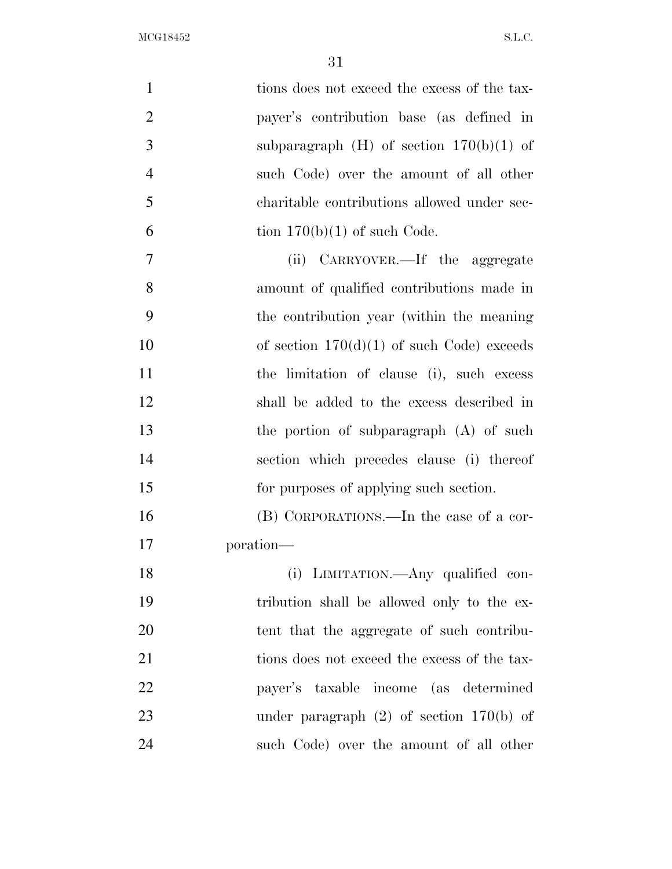| $\mathbf{1}$   | tions does not exceed the excess of the tax- |
|----------------|----------------------------------------------|
| $\overline{2}$ | payer's contribution base (as defined in     |
| 3              | subparagraph $(H)$ of section $170(b)(1)$ of |
| $\overline{4}$ | such Code) over the amount of all other      |
| 5              | charitable contributions allowed under sec-  |
| 6              | tion $170(b)(1)$ of such Code.               |
| 7              | CARRYOVER.—If the aggregate<br>(ii)          |
| 8              | amount of qualified contributions made in    |
| 9              | the contribution year (within the meaning)   |
| 10             | of section $170(d)(1)$ of such Code) exceeds |
| 11             | the limitation of clause (i), such excess    |
| 12             | shall be added to the excess described in    |
| 13             | the portion of subparagraph $(A)$ of such    |
| 14             | section which precedes clause (i) thereof    |
| 15             | for purposes of applying such section.       |
| 16             | (B) CORPORATIONS.—In the case of a cor-      |
| 17             | poration—                                    |
| 18             | (i) LIMITATION.—Any qualified con-           |
| 19             | tribution shall be allowed only to the ex-   |
| 20             | tent that the aggregate of such contribu-    |
| 21             | tions does not exceed the excess of the tax- |
| 22             | payer's taxable income (as determined        |
| 23             | under paragraph $(2)$ of section 170(b) of   |
| 24             | such Code) over the amount of all other      |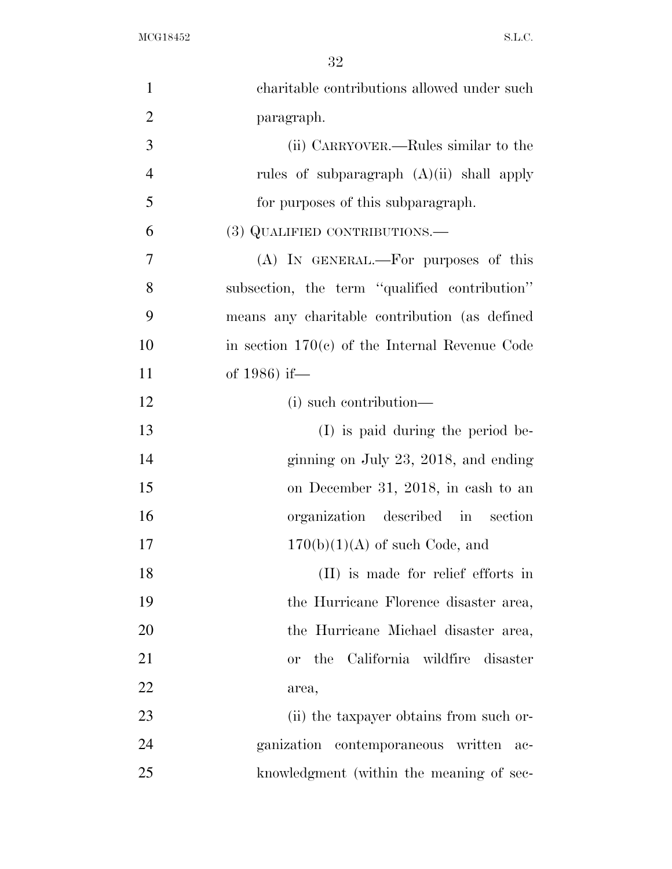$\rm{MCG18452}\qquad \qquad \ \, \rm{S.L.C.}$ 

| $\mathbf{1}$   | charitable contributions allowed under such       |
|----------------|---------------------------------------------------|
| $\overline{2}$ | paragraph.                                        |
| 3              | (ii) CARRYOVER.—Rules similar to the              |
| $\overline{4}$ | rules of subparagraph $(A)(ii)$ shall apply       |
| 5              | for purposes of this subparagraph.                |
| 6              | (3) QUALIFIED CONTRIBUTIONS.—                     |
| 7              | (A) IN GENERAL.—For purposes of this              |
| 8              | subsection, the term "qualified contribution"     |
| 9              | means any charitable contribution (as defined     |
| 10             | in section $170(c)$ of the Internal Revenue Code  |
| 11             | of 1986) if—                                      |
| 12             | (i) such contribution—                            |
| 13             | (I) is paid during the period be-                 |
| 14             | ginning on July 23, 2018, and ending              |
| 15             | on December 31, 2018, in cash to an               |
| 16             | organization described in section                 |
| 17             | $170(b)(1)(A)$ of such Code, and                  |
| 18             | (II) is made for relief efforts in                |
| 19             | the Hurricane Florence disaster area,             |
| 20             | the Hurricane Michael disaster area,              |
| 21             | the California wildfire disaster<br><sub>or</sub> |
| <u>22</u>      | area,                                             |
| 23             | (ii) the taxpayer obtains from such or-           |
| 24             | ganization contemporaneous written ac-            |
| 25             | knowledgment (within the meaning of sec-          |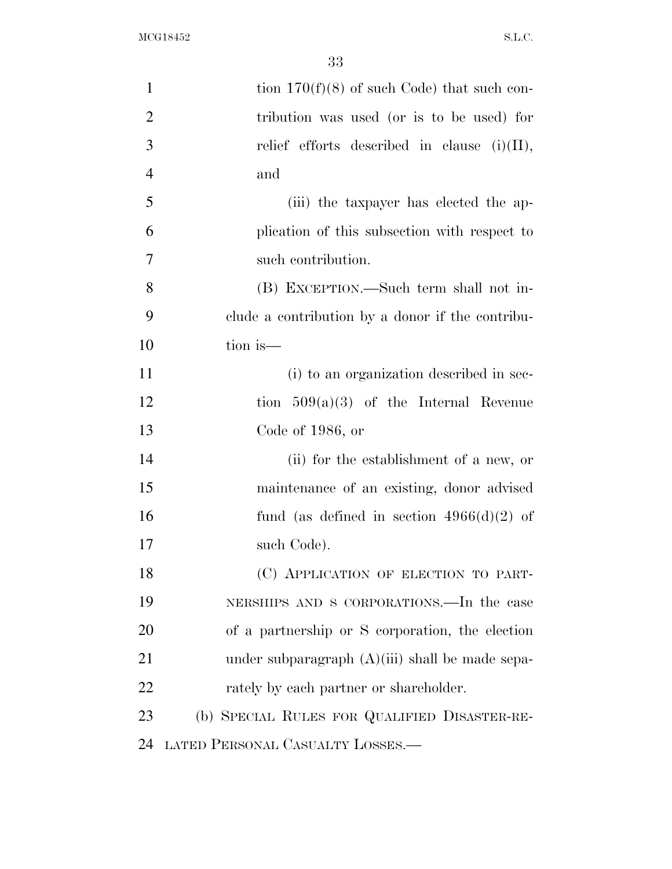| $\mathbf{1}$   | tion $170(f)(8)$ of such Code) that such con-     |
|----------------|---------------------------------------------------|
| $\overline{2}$ | tribution was used (or is to be used) for         |
| 3              | relief efforts described in clause $(i)(II)$ ,    |
| $\overline{4}$ | and                                               |
| 5              | (iii) the taxpayer has elected the ap-            |
| 6              | plication of this subsection with respect to      |
| $\tau$         | such contribution.                                |
| 8              | (B) EXCEPTION.—Such term shall not in-            |
| 9              | clude a contribution by a donor if the contribu-  |
| 10             | tion is—                                          |
| 11             | (i) to an organization described in sec-          |
| 12             | tion $509(a)(3)$ of the Internal Revenue          |
| 13             | Code of $1986$ , or                               |
| 14             | (ii) for the establishment of a new, or           |
| 15             | maintenance of an existing, donor advised         |
| 16             | fund (as defined in section $4966(d)(2)$ of       |
| 17             | such Code).                                       |
| 18             | (C) APPLICATION OF ELECTION TO PART-              |
| 19             | NERSHIPS AND S CORPORATIONS.—In the case          |
| 20             | of a partnership or S corporation, the election   |
| 21             | under subparagraph $(A)(iii)$ shall be made sepa- |
| 22             | rately by each partner or shareholder.            |
| 23             | (b) SPECIAL RULES FOR QUALIFIED DISASTER-RE-      |
| 24             | LATED PERSONAL CASUALTY LOSSES.—                  |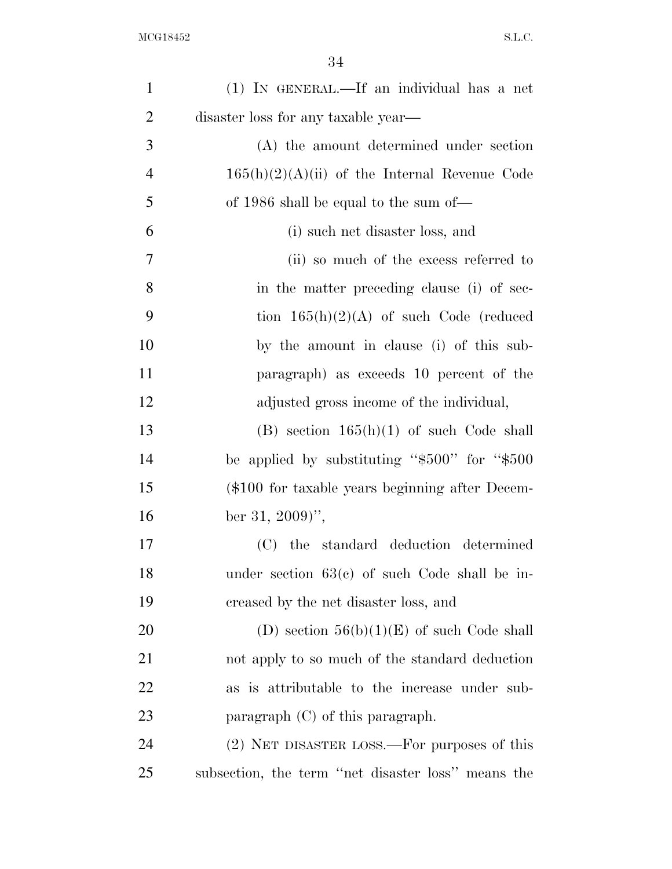| $\mathbf{1}$   | (1) IN GENERAL.—If an individual has a net          |
|----------------|-----------------------------------------------------|
| $\overline{2}$ | disaster loss for any taxable year—                 |
| 3              | (A) the amount determined under section             |
| $\overline{4}$ | $165(h)(2)(A)(ii)$ of the Internal Revenue Code     |
| 5              | of 1986 shall be equal to the sum of—               |
| 6              | (i) such net disaster loss, and                     |
| 7              | (ii) so much of the excess referred to              |
| 8              | in the matter preceding clause (i) of sec-          |
| 9              | tion $165(h)(2)(A)$ of such Code (reduced           |
| 10             | by the amount in clause (i) of this sub-            |
| 11             | paragraph) as exceeds 10 percent of the             |
| 12             | adjusted gross income of the individual,            |
| 13             | $(B)$ section $165(h)(1)$ of such Code shall        |
| 14             | be applied by substituting " $$500"$ for " $$500$ " |
| 15             | (\$100 for taxable years beginning after Decem-     |
| 16             | ber 31, 2009)'',                                    |
| 17             | (C) the standard deduction determined               |
| 18             | under section $63(e)$ of such Code shall be in-     |
| 19             | creased by the net disaster loss, and               |
| 20             | (D) section $56(b)(1)(E)$ of such Code shall        |
| 21             | not apply to so much of the standard deduction      |
| 22             | as is attributable to the increase under sub-       |
| 23             | paragraph $(C)$ of this paragraph.                  |
| 24             | (2) NET DISASTER LOSS.—For purposes of this         |
| 25             | subsection, the term "net disaster loss" means the  |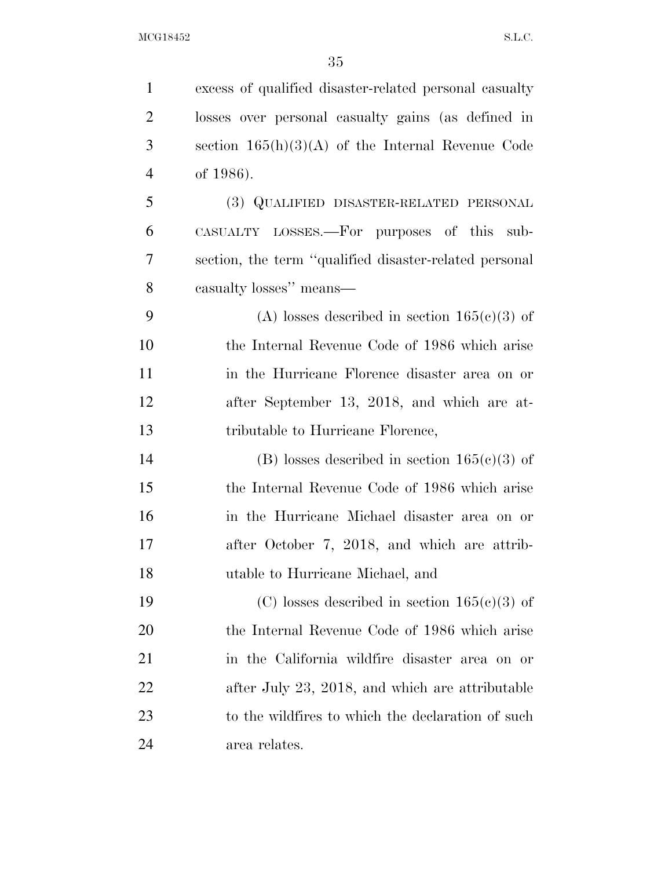| $\mathbf{1}$   | excess of qualified disaster-related personal casualty |
|----------------|--------------------------------------------------------|
| $\overline{2}$ | losses over personal casualty gains (as defined in     |
| 3              | section $165(h)(3)(A)$ of the Internal Revenue Code    |
| $\overline{4}$ | of 1986).                                              |
| 5              | (3) QUALIFIED DISASTER-RELATED PERSONAL                |
| 6              | CASUALTY LOSSES.—For purposes of this sub-             |
| 7              | section, the term "qualified disaster-related personal |
| 8              | casualty losses" means—                                |
| 9              | (A) losses described in section $165(c)(3)$ of         |
| 10             | the Internal Revenue Code of 1986 which arise          |
| 11             | in the Hurricane Florence disaster area on or          |
| 12             | after September 13, 2018, and which are at-            |
| 13             | tributable to Hurricane Florence,                      |
| 14             | (B) losses described in section $165(c)(3)$ of         |
| 15             | the Internal Revenue Code of 1986 which arise          |
| 16             | in the Hurricane Michael disaster area on or           |
| 17             | after October 7, 2018, and which are attrib-           |
| 18             | utable to Hurricane Michael, and                       |
| 19             | (C) losses described in section $165(c)(3)$ of         |
| 20             | the Internal Revenue Code of 1986 which arise          |
| 21             | in the California wildfire disaster area on or         |
| 22             | after July 23, 2018, and which are attributable        |
| 23             | to the wildfires to which the declaration of such      |
| 24             | area relates.                                          |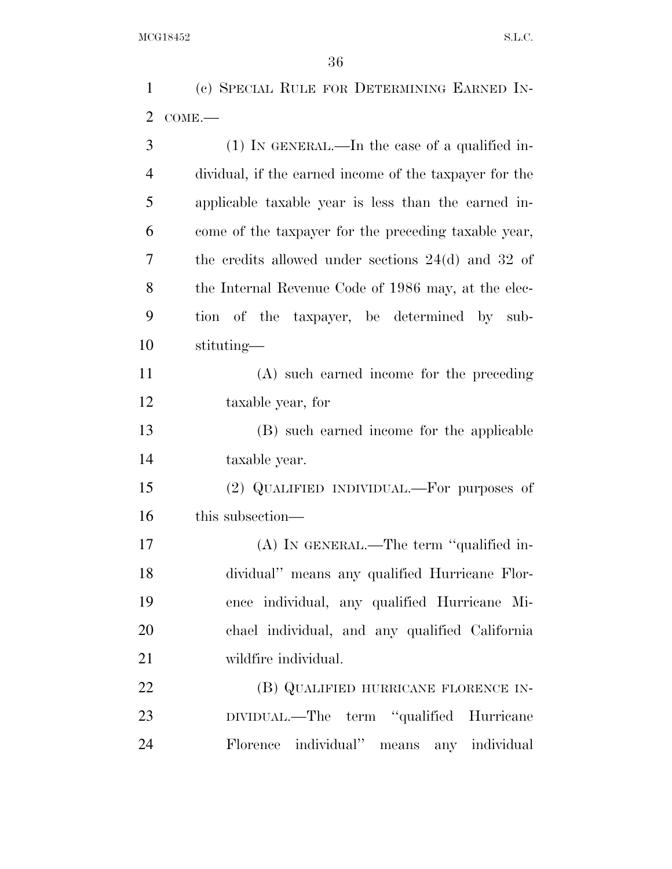(c) SPECIAL RULE FOR DETERMINING EARNED IN-COME.—

| 3              | $(1)$ In GENERAL.—In the case of a qualified in-       |
|----------------|--------------------------------------------------------|
| $\overline{4}$ | dividual, if the earned income of the taxpayer for the |
| 5              | applicable taxable year is less than the earned in-    |
| 6              | come of the taxpayer for the preceding taxable year,   |
| 7              | the credits allowed under sections $24(d)$ and $32$ of |
| 8              | the Internal Revenue Code of 1986 may, at the elec-    |
| 9              | tion of the taxpayer, be determined by sub-            |
| 10             | stituting-                                             |
| 11             | (A) such earned income for the preceding               |
| 12             | taxable year, for                                      |
| 13             | (B) such earned income for the applicable              |
| 14             | taxable year.                                          |
| 15             | (2) QUALIFIED INDIVIDUAL.—For purposes of              |
| 16             | this subsection—                                       |
| 17             | (A) IN GENERAL.—The term "qualified in-                |
| 18             | dividual" means any qualified Hurricane Flor-          |
| 19             | ence individual, any qualified Hurricane Mi-           |
| 20             | chael individual, and any qualified California         |
| 21             | wildfire individual.                                   |
| 22             | (B) QUALIFIED HURRICANE FLORENCE IN-                   |
| 23             | DIVIDUAL.—The term "qualified Hurricane                |
| 24             | Florence individual" means any individual              |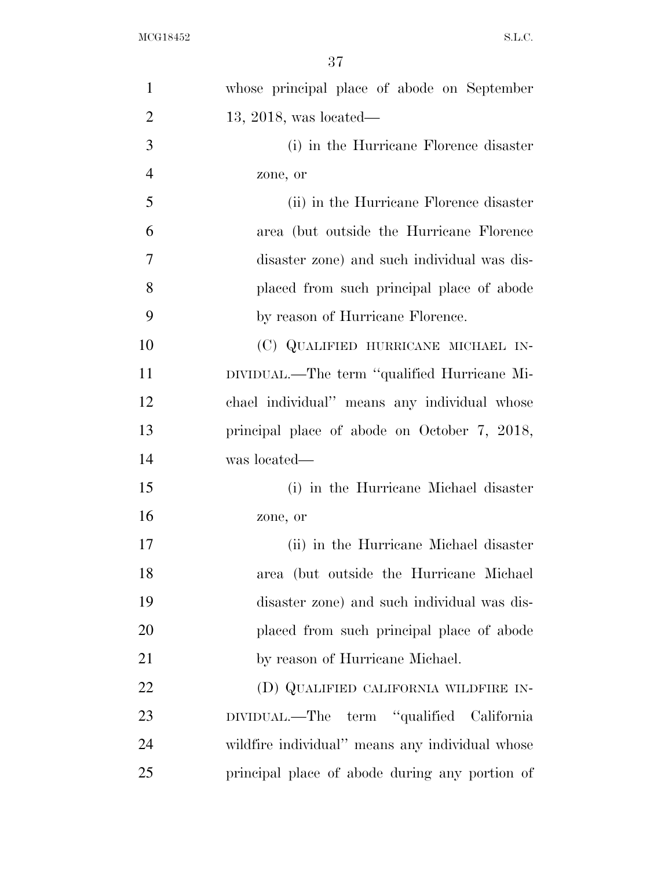| $\mathbf{1}$   | whose principal place of abode on September     |
|----------------|-------------------------------------------------|
| $\overline{2}$ | $13, 2018$ , was located—                       |
| 3              | (i) in the Hurricane Florence disaster          |
| $\overline{4}$ | zone, or                                        |
| 5              | (ii) in the Hurricane Florence disaster         |
| 6              | area (but outside the Hurricane Florence        |
| 7              | disaster zone) and such individual was dis-     |
| 8              | placed from such principal place of abode       |
| 9              | by reason of Hurricane Florence.                |
| 10             | (C) QUALIFIED HURRICANE MICHAEL IN-             |
| 11             | DIVIDUAL.—The term "qualified Hurricane Mi-     |
| 12             | chael individual" means any individual whose    |
| 13             | principal place of abode on October 7, 2018,    |
| 14             | was located—                                    |
| 15             | (i) in the Hurricane Michael disaster           |
| 16             | zone, or                                        |
| 17             | (ii) in the Hurricane Michael disaster          |
| 18             | area (but outside the Hurricane Michael         |
| 19             | disaster zone) and such individual was dis-     |
| 20             | placed from such principal place of abode       |
| 21             | by reason of Hurricane Michael.                 |
| 22             | (D) QUALIFIED CALIFORNIA WILDFIRE IN-           |
| 23             | DIVIDUAL.—The term "qualified California        |
| 24             | wildfire individual" means any individual whose |
| 25             | principal place of abode during any portion of  |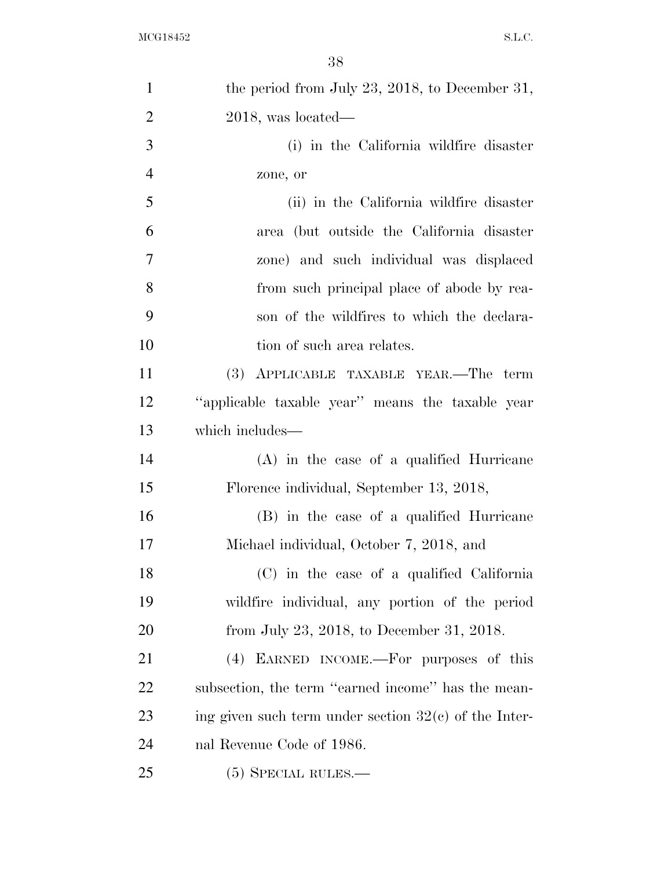| $\mathbf{1}$   | the period from July 23, 2018, to December 31,          |
|----------------|---------------------------------------------------------|
| $\overline{2}$ | $2018$ , was located—                                   |
| 3              | (i) in the California wildfire disaster                 |
| $\overline{4}$ | zone, or                                                |
| 5              | (ii) in the California wildfire disaster                |
| 6              | area (but outside the California disaster               |
| $\tau$         | zone) and such individual was displaced                 |
| 8              | from such principal place of abode by rea-              |
| 9              | son of the wildfires to which the declara-              |
| 10             | tion of such area relates.                              |
| 11             | (3) APPLICABLE TAXABLE YEAR.—The term                   |
| 12             | "applicable taxable year" means the taxable year        |
| 13             | which includes—                                         |
| 14             | $(A)$ in the case of a qualified Hurricane              |
| 15             | Florence individual, September 13, 2018,                |
| 16             | (B) in the case of a qualified Hurricane                |
| 17             | Michael individual, October 7, 2018, and                |
| 18             | (C) in the case of a qualified California               |
| 19             | wildfire individual, any portion of the period          |
| 20             | from July 23, 2018, to December 31, 2018.               |
| 21             | (4) EARNED INCOME.—For purposes of this                 |
| 22             | subsection, the term "earned income" has the mean-      |
| 23             | ing given such term under section $32(c)$ of the Inter- |
| 24             | nal Revenue Code of 1986.                               |
| 25             | $(5)$ SPECIAL RULES.—                                   |